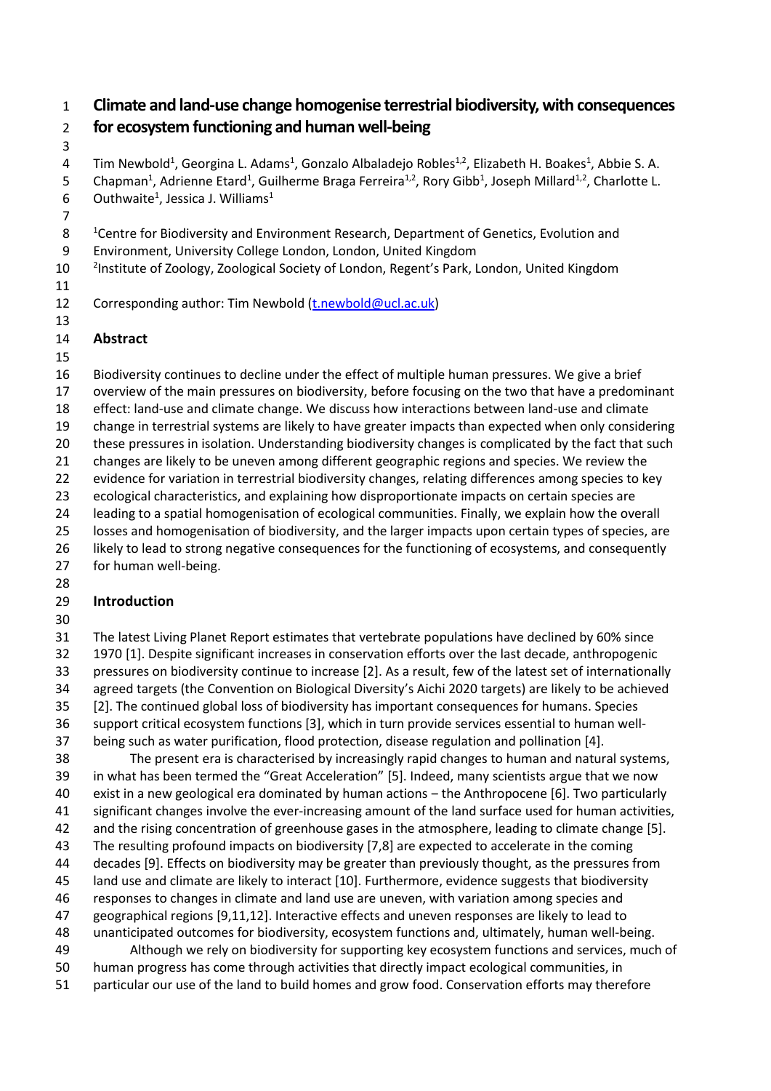### **Climate and land-use change homogenise terrestrial biodiversity, with consequences for ecosystem functioning and human well-being**

4 Tim Newbold<sup>1</sup>, Georgina L. Adams<sup>1</sup>, Gonzalo Albaladejo Robles<sup>1,2</sup>, Elizabeth H. Boakes<sup>1</sup>, Abbie S. A. 5 Chapman<sup>1</sup>, Adrienne Etard<sup>1</sup>, Guilherme Braga Ferreira<sup>1,2</sup>, Rory Gibb<sup>1</sup>, Joseph Millard<sup>1,2</sup>, Charlotte L. 6 Outhwaite<sup>1</sup>, Jessica J. Williams<sup>1</sup>

- 
- 8 <sup>1</sup> Centre for Biodiversity and Environment Research, Department of Genetics, Evolution and
- Environment, University College London, London, United Kingdom
- 10 <sup>2</sup> Institute of Zoology, Zoological Society of London, Regent's Park, London, United Kingdom
- 

12 Corresponding author: Tim Newbold [\(t.newbold@ucl.ac.uk\)](mailto:t.newbold@ucl.ac.uk)

- 
- **Abstract**
- 

 Biodiversity continues to decline under the effect of multiple human pressures. We give a brief overview of the main pressures on biodiversity, before focusing on the two that have a predominant effect: land-use and climate change. We discuss how interactions between land-use and climate change in terrestrial systems are likely to have greater impacts than expected when only considering these pressures in isolation. Understanding biodiversity changes is complicated by the fact that such changes are likely to be uneven among different geographic regions and species. We review the evidence for variation in terrestrial biodiversity changes, relating differences among species to key ecological characteristics, and explaining how disproportionate impacts on certain species are leading to a spatial homogenisation of ecological communities. Finally, we explain how the overall losses and homogenisation of biodiversity, and the larger impacts upon certain types of species, are likely to lead to strong negative consequences for the functioning of ecosystems, and consequently for human well-being.

## **Introduction**

 The latest Living Planet Report estimates that vertebrate populations have declined by 60% since 1970 [1]. Despite significant increases in conservation efforts over the last decade, anthropogenic pressures on biodiversity continue to increase [2]. As a result, few of the latest set of internationally agreed targets (the Convention on Biological Diversity's Aichi 2020 targets) are likely to be achieved [2]. The continued global loss of biodiversity has important consequences for humans. Species support critical ecosystem functions [3], which in turn provide services essential to human well-

being such as water purification, flood protection, disease regulation and pollination [4].

 The present era is characterised by increasingly rapid changes to human and natural systems, in what has been termed the "Great Acceleration" [5]. Indeed, many scientists argue that we now exist in a new geological era dominated by human actions ‒ the Anthropocene [6]. Two particularly significant changes involve the ever-increasing amount of the land surface used for human activities,

- and the rising concentration of greenhouse gases in the atmosphere, leading to climate change [5].
- The resulting profound impacts on biodiversity [7,8] are expected to accelerate in the coming
- decades [9]. Effects on biodiversity may be greater than previously thought, as the pressures from
- land use and climate are likely to interact [10]. Furthermore, evidence suggests that biodiversity
- responses to changes in climate and land use are uneven, with variation among species and geographical regions [9,11,12]. Interactive effects and uneven responses are likely to lead to
- unanticipated outcomes for biodiversity, ecosystem functions and, ultimately, human well-being.
- Although we rely on biodiversity for supporting key ecosystem functions and services, much of human progress has come through activities that directly impact ecological communities, in
- particular our use of the land to build homes and grow food. Conservation efforts may therefore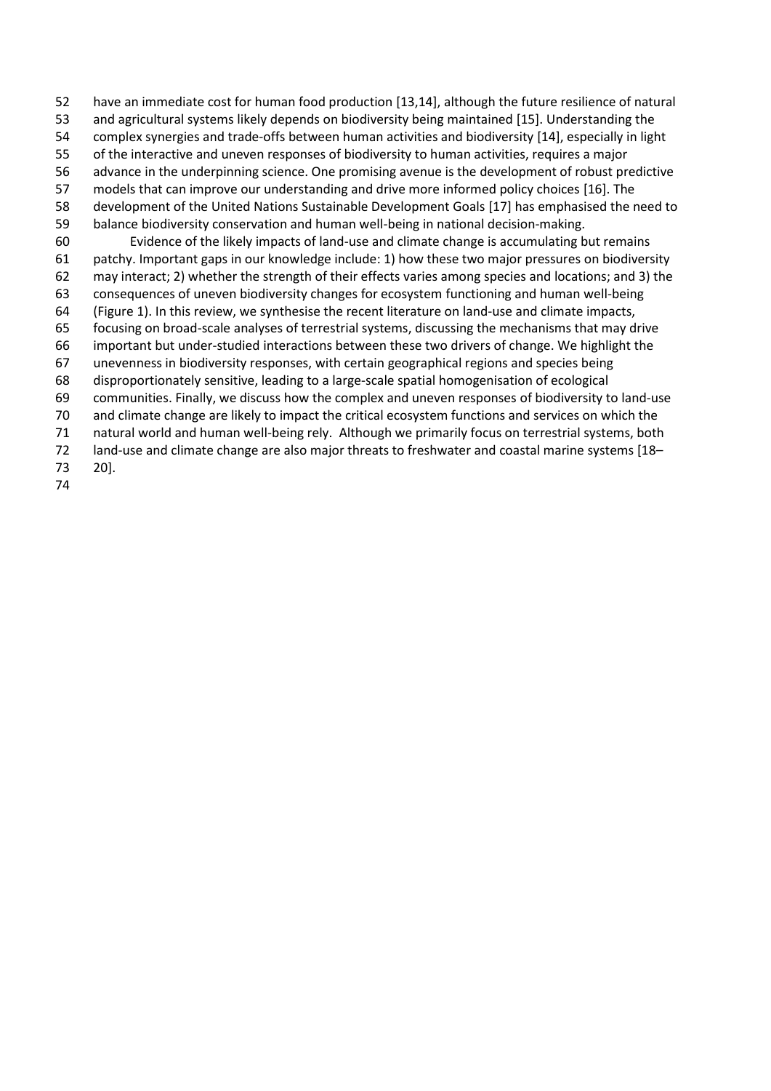- have an immediate cost for human food production [13,14], although the future resilience of natural
- and agricultural systems likely depends on biodiversity being maintained [15]. Understanding the
- complex synergies and trade-offs between human activities and biodiversity [14], especially in light
- of the interactive and uneven responses of biodiversity to human activities, requires a major
- advance in the underpinning science. One promising avenue is the development of robust predictive
- models that can improve our understanding and drive more informed policy choices [16]. The
- development of the United Nations Sustainable Development Goals [17] has emphasised the need to
- balance biodiversity conservation and human well-being in national decision-making.
- Evidence of the likely impacts of land-use and climate change is accumulating but remains patchy. Important gaps in our knowledge include: 1) how these two major pressures on biodiversity may interact; 2) whether the strength of their effects varies among species and locations; and 3) the
- consequences of uneven biodiversity changes for ecosystem functioning and human well-being
- (Figure 1). In this review, we synthesise the recent literature on land-use and climate impacts,
- focusing on broad-scale analyses of terrestrial systems, discussing the mechanisms that may drive
- important but under-studied interactions between these two drivers of change. We highlight the
- unevenness in biodiversity responses, with certain geographical regions and species being
- disproportionately sensitive, leading to a large-scale spatial homogenisation of ecological
- communities. Finally, we discuss how the complex and uneven responses of biodiversity to land-use
- and climate change are likely to impact the critical ecosystem functions and services on which the
- natural world and human well-being rely. Although we primarily focus on terrestrial systems, both
- land-use and climate change are also major threats to freshwater and coastal marine systems [18–
- 20].
-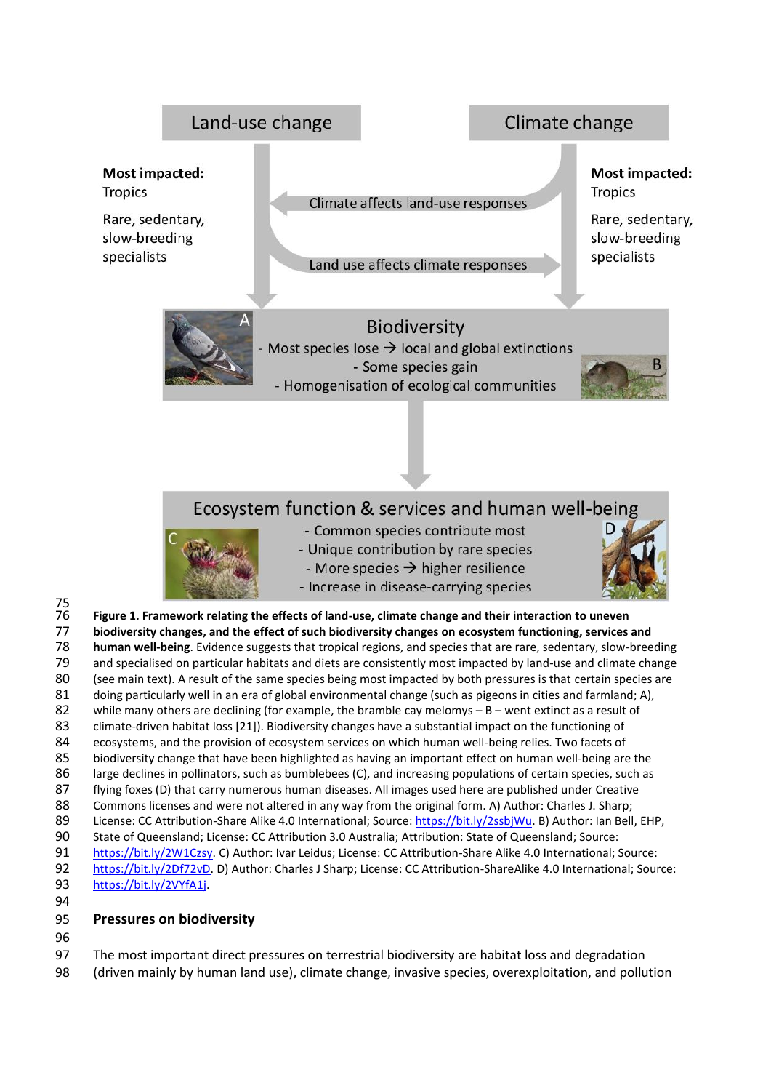

 [https://bit.ly/2VYfA1j.](https://bit.ly/2VYfA1j) 

#### **Pressures on biodiversity**

The most important direct pressures on terrestrial biodiversity are habitat loss and degradation

(driven mainly by human land use), climate change, invasive species, overexploitation, and pollution

84 ecosystems, and the provision of ecosystem services on which human well-being relies. Two facets of<br>85 biodiversity change that have been highlighted as having an important effect on human well-being are

 State of Queensland; License: CC Attribution 3.0 Australia; Attribution: State of Queensland; Source: [https://bit.ly/2W1Czsy.](https://bit.ly/2W1Czsy) C) Author: Ivar Leidus; License: CC Attribution-Share Alike 4.0 International; Source: [https://bit.ly/2Df72vD.](https://bit.ly/2Df72vD) D) Author: Charles J Sharp; License: CC Attribution-ShareAlike 4.0 International; Source:

biodiversity change that have been highlighted as having an important effect on human well-being are the large declines in pollinators, such as bumblebees (C), and increasing populations of certain species, such as flying foxes (D) that carry numerous human diseases. All images used here are published under Creative Commons licenses and were not altered in any way from the original form. A) Author: Charles J. Sharp; 89 License: CC Attribution-Share Alike 4.0 International; Source[: https://bit.ly/2ssbjWu.](https://bit.ly/2ssbjWu) B) Author: Ian Bell, EHP,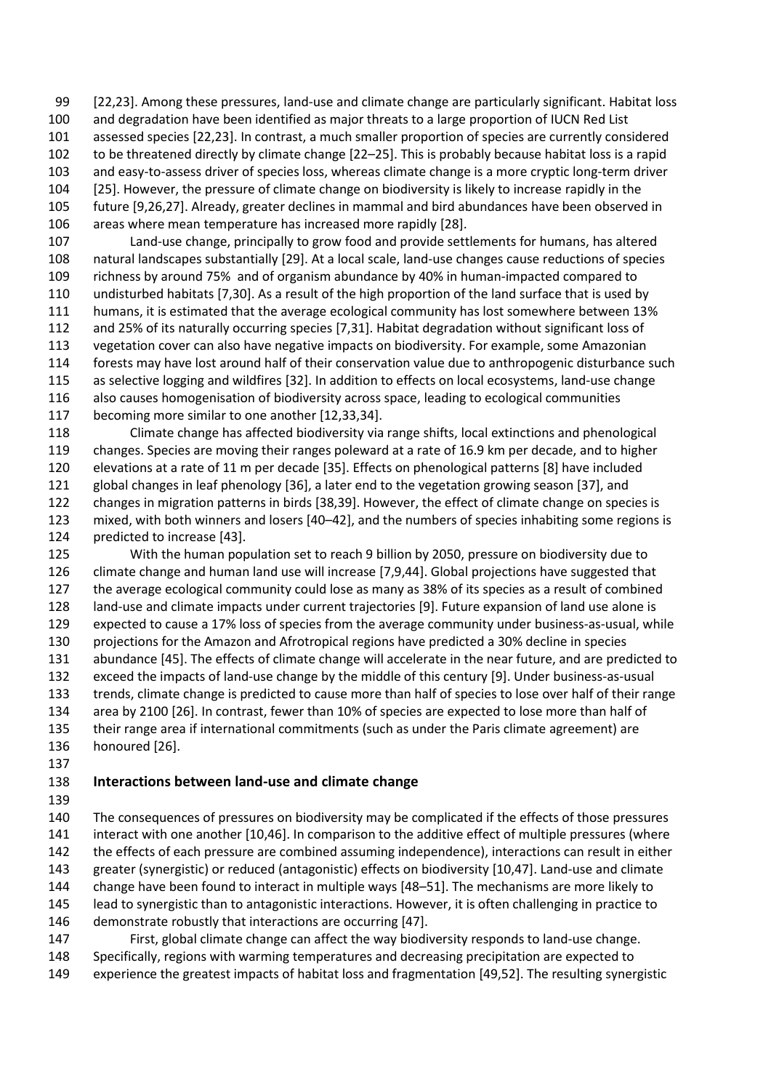[22,23]. Among these pressures, land-use and climate change are particularly significant. Habitat loss and degradation have been identified as major threats to a large proportion of IUCN Red List assessed species [22,23]. In contrast, a much smaller proportion of species are currently considered to be threatened directly by climate change [22–25]. This is probably because habitat loss is a rapid and easy-to-assess driver of species loss, whereas climate change is a more cryptic long-term driver [25]. However, the pressure of climate change on biodiversity is likely to increase rapidly in the future [9,26,27]. Already, greater declines in mammal and bird abundances have been observed in areas where mean temperature has increased more rapidly [28].

 Land-use change, principally to grow food and provide settlements for humans, has altered natural landscapes substantially [29]. At a local scale, land-use changes cause reductions of species richness by around 75% and of organism abundance by 40% in human-impacted compared to undisturbed habitats [7,30]. As a result of the high proportion of the land surface that is used by humans, it is estimated that the average ecological community has lost somewhere between 13% and 25% of its naturally occurring species [7,31]. Habitat degradation without significant loss of vegetation cover can also have negative impacts on biodiversity. For example, some Amazonian forests may have lost around half of their conservation value due to anthropogenic disturbance such as selective logging and wildfires [32]. In addition to effects on local ecosystems, land-use change also causes homogenisation of biodiversity across space, leading to ecological communities becoming more similar to one another [12,33,34].

 Climate change has affected biodiversity via range shifts, local extinctions and phenological changes. Species are moving their ranges poleward at a rate of 16.9 km per decade, and to higher elevations at a rate of 11 m per decade [35]. Effects on phenological patterns [8] have included global changes in leaf phenology [36], a later end to the vegetation growing season [37], and changes in migration patterns in birds [38,39]. However, the effect of climate change on species is mixed, with both winners and losers [40–42], and the numbers of species inhabiting some regions is predicted to increase [43].

 With the human population set to reach 9 billion by 2050, pressure on biodiversity due to climate change and human land use will increase [7,9,44]. Global projections have suggested that the average ecological community could lose as many as 38% of its species as a result of combined land-use and climate impacts under current trajectories [9]. Future expansion of land use alone is expected to cause a 17% loss of species from the average community under business-as-usual, while projections for the Amazon and Afrotropical regions have predicted a 30% decline in species abundance [45]. The effects of climate change will accelerate in the near future, and are predicted to exceed the impacts of land-use change by the middle of this century [9]. Under business-as-usual trends, climate change is predicted to cause more than half of species to lose over half of their range area by 2100 [26]. In contrast, fewer than 10% of species are expected to lose more than half of their range area if international commitments (such as under the Paris climate agreement) are honoured [26].

### **Interactions between land-use and climate change**

 The consequences of pressures on biodiversity may be complicated if the effects of those pressures interact with one another [10,46]. In comparison to the additive effect of multiple pressures (where the effects of each pressure are combined assuming independence), interactions can result in either greater (synergistic) or reduced (antagonistic) effects on biodiversity [10,47]. Land-use and climate change have been found to interact in multiple ways [48–51]. The mechanisms are more likely to lead to synergistic than to antagonistic interactions. However, it is often challenging in practice to 146 demonstrate robustly that interactions are occurring [47].

 First, global climate change can affect the way biodiversity responds to land-use change. Specifically, regions with warming temperatures and decreasing precipitation are expected to experience the greatest impacts of habitat loss and fragmentation [49,52]. The resulting synergistic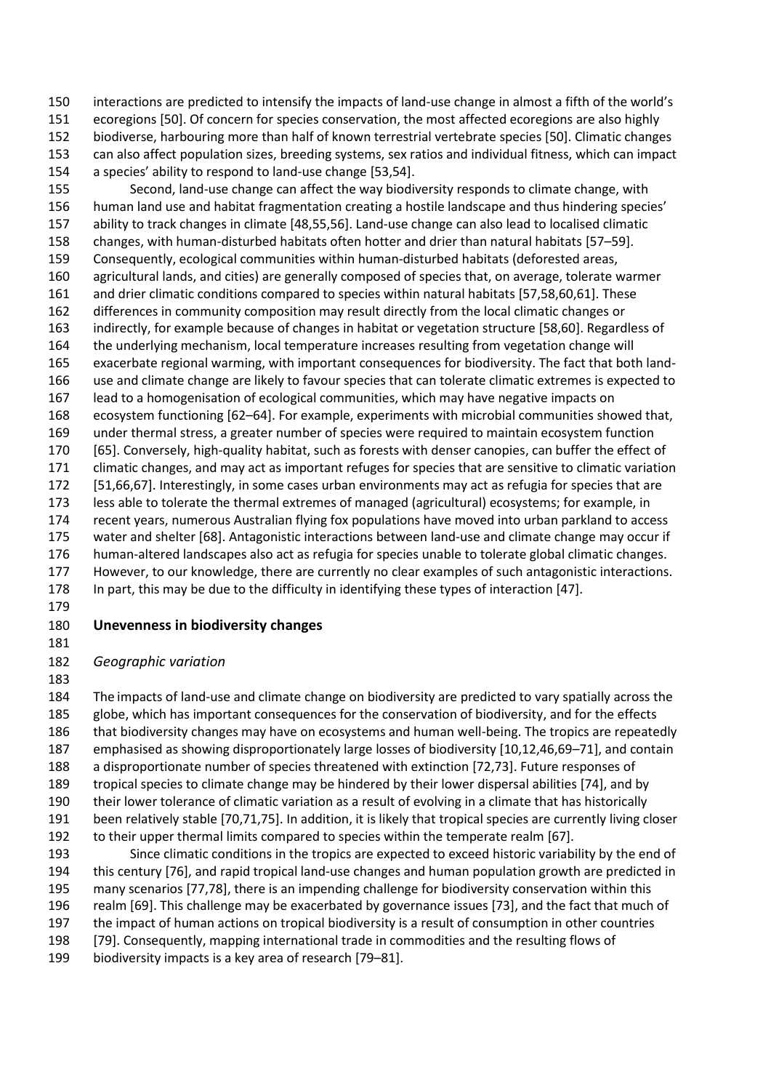interactions are predicted to intensify the impacts of land-use change in almost a fifth of the world's ecoregions [50]. Of concern for species conservation, the most affected ecoregions are also highly biodiverse, harbouring more than half of known terrestrial vertebrate species [50]. Climatic changes can also affect population sizes, breeding systems, sex ratios and individual fitness, which can impact a species' ability to respond to land-use change [53,54].

 Second, land-use change can affect the way biodiversity responds to climate change, with human land use and habitat fragmentation creating a hostile landscape and thus hindering species' ability to track changes in climate [48,55,56]. Land-use change can also lead to localised climatic changes, with human-disturbed habitats often hotter and drier than natural habitats [57–59]. Consequently, ecological communities within human-disturbed habitats (deforested areas, agricultural lands, and cities) are generally composed of species that, on average, tolerate warmer and drier climatic conditions compared to species within natural habitats [57,58,60,61]. These differences in community composition may result directly from the local climatic changes or indirectly, for example because of changes in habitat or vegetation structure [58,60]. Regardless of the underlying mechanism, local temperature increases resulting from vegetation change will exacerbate regional warming, with important consequences for biodiversity. The fact that both land- use and climate change are likely to favour species that can tolerate climatic extremes is expected to lead to a homogenisation of ecological communities, which may have negative impacts on ecosystem functioning [62–64]. For example, experiments with microbial communities showed that, under thermal stress, a greater number of species were required to maintain ecosystem function [65]. Conversely, high-quality habitat, such as forests with denser canopies, can buffer the effect of climatic changes, and may act as important refuges for species that are sensitive to climatic variation [51,66,67]. Interestingly, in some cases urban environments may act as refugia for species that are less able to tolerate the thermal extremes of managed (agricultural) ecosystems; for example, in recent years, numerous Australian flying fox populations have moved into urban parkland to access water and shelter [68]. Antagonistic interactions between land-use and climate change may occur if human-altered landscapes also act as refugia for species unable to tolerate global climatic changes. However, to our knowledge, there are currently no clear examples of such antagonistic interactions. In part, this may be due to the difficulty in identifying these types of interaction [47].

#### **Unevenness in biodiversity changes**

#### *Geographic variation*

 The impacts of land-use and climate change on biodiversity are predicted to vary spatially across the globe, which has important consequences for the conservation of biodiversity, and for the effects that biodiversity changes may have on ecosystems and human well-being. The tropics are repeatedly emphasised as showing disproportionately large losses of biodiversity [10,12,46,69–71], and contain a disproportionate number of species threatened with extinction [72,73]. Future responses of tropical species to climate change may be hindered by their lower dispersal abilities [74], and by their lower tolerance of climatic variation as a result of evolving in a climate that has historically been relatively stable [70,71,75]. In addition, it is likely that tropical species are currently living closer to their upper thermal limits compared to species within the temperate realm [67].

 Since climatic conditions in the tropics are expected to exceed historic variability by the end of this century [76], and rapid tropical land-use changes and human population growth are predicted in many scenarios [77,78], there is an impending challenge for biodiversity conservation within this realm [69]. This challenge may be exacerbated by governance issues [73], and the fact that much of the impact of human actions on tropical biodiversity is a result of consumption in other countries [79]. Consequently, mapping international trade in commodities and the resulting flows of

biodiversity impacts is a key area of research [79–81].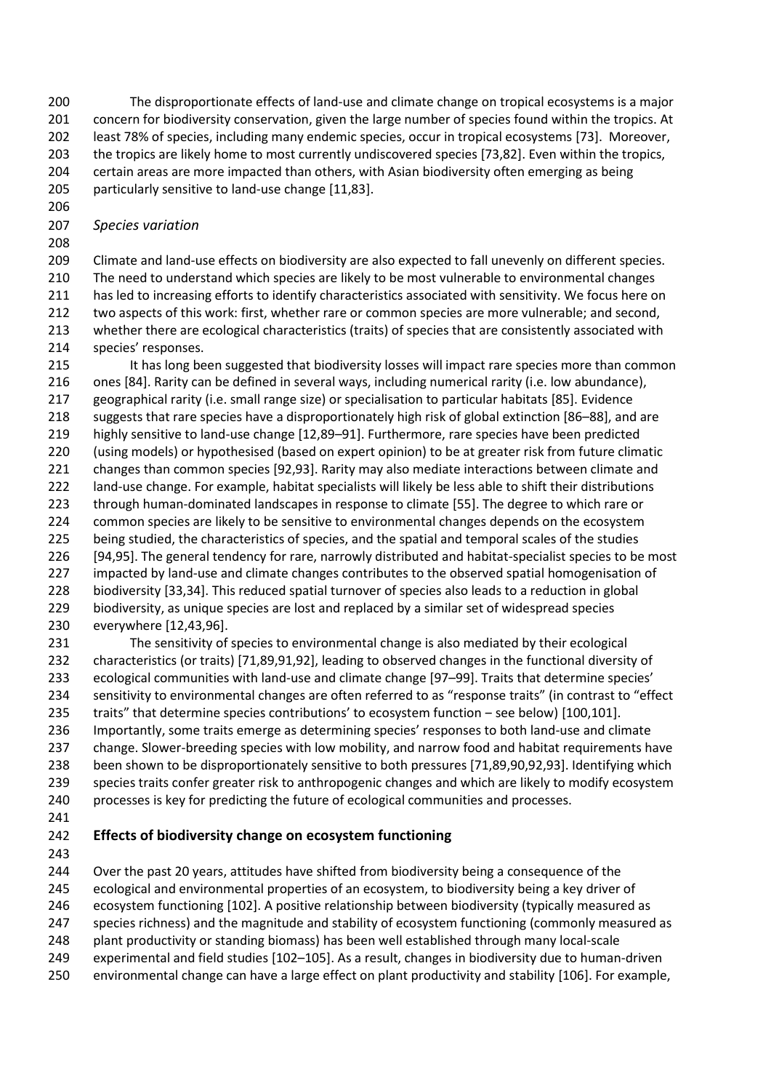The disproportionate effects of land-use and climate change on tropical ecosystems is a major 201 concern for biodiversity conservation, given the large number of species found within the tropics. At least 78% of species, including many endemic species, occur in tropical ecosystems [73]. Moreover, the tropics are likely home to most currently undiscovered species [73,82]. Even within the tropics, certain areas are more impacted than others, with Asian biodiversity often emerging as being particularly sensitive to land-use change [11,83].

#### *Species variation*

 Climate and land-use effects on biodiversity are also expected to fall unevenly on different species. The need to understand which species are likely to be most vulnerable to environmental changes 211 has led to increasing efforts to identify characteristics associated with sensitivity. We focus here on two aspects of this work: first, whether rare or common species are more vulnerable; and second, whether there are ecological characteristics (traits) of species that are consistently associated with species' responses.

 It has long been suggested that biodiversity losses will impact rare species more than common ones [84]. Rarity can be defined in several ways, including numerical rarity (i.e. low abundance), geographical rarity (i.e. small range size) or specialisation to particular habitats [85]. Evidence suggests that rare species have a disproportionately high risk of global extinction [86–88], and are highly sensitive to land-use change [12,89–91]. Furthermore, rare species have been predicted (using models) or hypothesised (based on expert opinion) to be at greater risk from future climatic changes than common species [92,93]. Rarity may also mediate interactions between climate and land-use change. For example, habitat specialists will likely be less able to shift their distributions through human-dominated landscapes in response to climate [55]. The degree to which rare or 224 common species are likely to be sensitive to environmental changes depends on the ecosystem 225 being studied, the characteristics of species, and the spatial and temporal scales of the studies [94,95]. The general tendency for rare, narrowly distributed and habitat-specialist species to be most 227 impacted by land-use and climate changes contributes to the observed spatial homogenisation of biodiversity [33,34]. This reduced spatial turnover of species also leads to a reduction in global biodiversity, as unique species are lost and replaced by a similar set of widespread species everywhere [12,43,96].

 The sensitivity of species to environmental change is also mediated by their ecological characteristics (or traits) [71,89,91,92], leading to observed changes in the functional diversity of ecological communities with land-use and climate change [97–99]. Traits that determine species' sensitivity to environmental changes are often referred to as "response traits" (in contrast to "effect 235 traits" that determine species contributions' to ecosystem function – see below) [100,101]. Importantly, some traits emerge as determining species' responses to both land-use and climate 237 change. Slower-breeding species with low mobility, and narrow food and habitat requirements have been shown to be disproportionately sensitive to both pressures [71,89,90,92,93]. Identifying which species traits confer greater risk to anthropogenic changes and which are likely to modify ecosystem processes is key for predicting the future of ecological communities and processes.

### **Effects of biodiversity change on ecosystem functioning**

Over the past 20 years, attitudes have shifted from biodiversity being a consequence of the

ecological and environmental properties of an ecosystem, to biodiversity being a key driver of

ecosystem functioning [102]. A positive relationship between biodiversity (typically measured as

247 species richness) and the magnitude and stability of ecosystem functioning (commonly measured as

plant productivity or standing biomass) has been well established through many local-scale

experimental and field studies [102–105]. As a result, changes in biodiversity due to human-driven

environmental change can have a large effect on plant productivity and stability [106]. For example,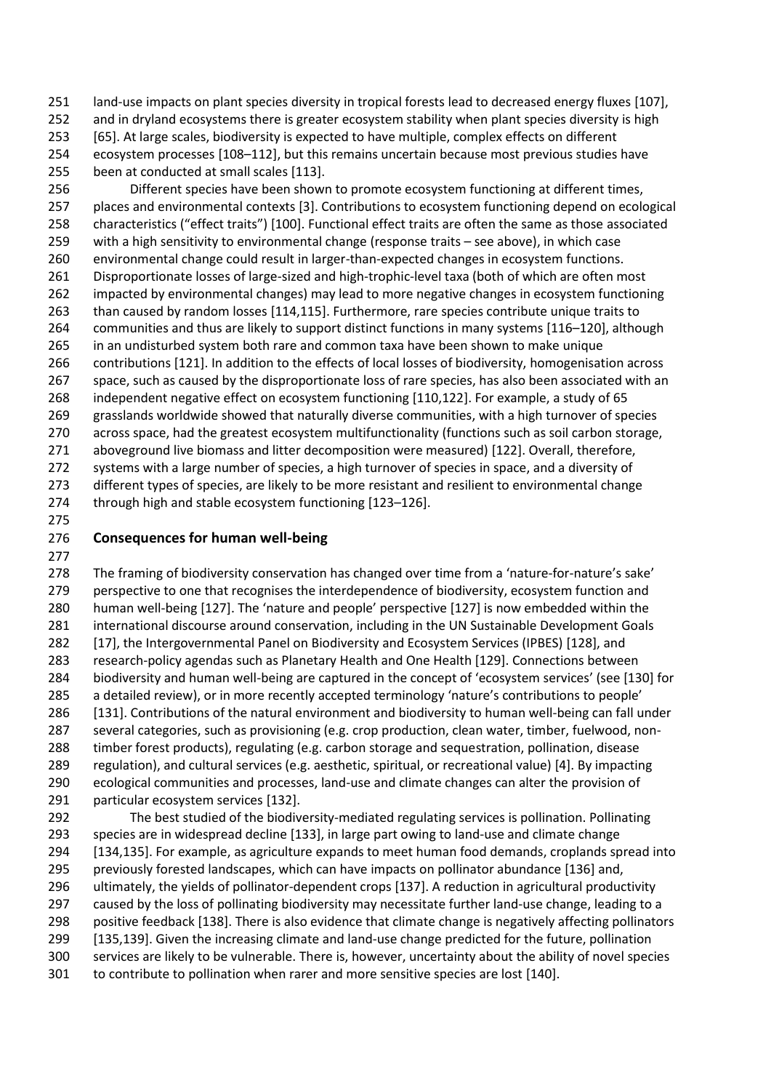land-use impacts on plant species diversity in tropical forests lead to decreased energy fluxes [107], 252 and in dryland ecosystems there is greater ecosystem stability when plant species diversity is high [65]. At large scales, biodiversity is expected to have multiple, complex effects on different ecosystem processes [108–112], but this remains uncertain because most previous studies have been at conducted at small scales [113].

 Different species have been shown to promote ecosystem functioning at different times, places and environmental contexts [3]. Contributions to ecosystem functioning depend on ecological characteristics ("effect traits") [100]. Functional effect traits are often the same as those associated with a high sensitivity to environmental change (response traits – see above), in which case environmental change could result in larger-than-expected changes in ecosystem functions. Disproportionate losses of large-sized and high-trophic-level taxa (both of which are often most impacted by environmental changes) may lead to more negative changes in ecosystem functioning than caused by random losses [114,115]. Furthermore, rare species contribute unique traits to communities and thus are likely to support distinct functions in many systems [116–120], although in an undisturbed system both rare and common taxa have been shown to make unique contributions [121]. In addition to the effects of local losses of biodiversity, homogenisation across space, such as caused by the disproportionate loss of rare species, has also been associated with an independent negative effect on ecosystem functioning [110,122]. For example, a study of 65 grasslands worldwide showed that naturally diverse communities, with a high turnover of species across space, had the greatest ecosystem multifunctionality (functions such as soil carbon storage, aboveground live biomass and litter decomposition were measured) [122]. Overall, therefore, systems with a large number of species, a high turnover of species in space, and a diversity of different types of species, are likely to be more resistant and resilient to environmental change through high and stable ecosystem functioning [123–126].

# 

### **Consequences for human well-being**

 The framing of biodiversity conservation has changed over time from a 'nature-for-nature's sake' perspective to one that recognises the interdependence of biodiversity, ecosystem function and human well-being [127]. The 'nature and people' perspective [127] is now embedded within the international discourse around conservation, including in the UN Sustainable Development Goals [17], the Intergovernmental Panel on Biodiversity and Ecosystem Services (IPBES) [128], and research-policy agendas such as Planetary Health and One Health [129]. Connections between biodiversity and human well-being are captured in the concept of 'ecosystem services' (see [130] for a detailed review), or in more recently accepted terminology 'nature's contributions to people' [131]. Contributions of the natural environment and biodiversity to human well-being can fall under several categories, such as provisioning (e.g. crop production, clean water, timber, fuelwood, non- timber forest products), regulating (e.g. carbon storage and sequestration, pollination, disease regulation), and cultural services (e.g. aesthetic, spiritual, or recreational value) [4]. By impacting ecological communities and processes, land-use and climate changes can alter the provision of particular ecosystem services [132].

 The best studied of the biodiversity-mediated regulating services is pollination. Pollinating species are in widespread decline [133], in large part owing to land-use and climate change [134,135]. For example, as agriculture expands to meet human food demands, croplands spread into previously forested landscapes, which can have impacts on pollinator abundance [136] and, ultimately, the yields of pollinator-dependent crops [137]. A reduction in agricultural productivity caused by the loss of pollinating biodiversity may necessitate further land-use change, leading to a 298 positive feedback [138]. There is also evidence that climate change is negatively affecting pollinators [135,139]. Given the increasing climate and land-use change predicted for the future, pollination services are likely to be vulnerable. There is, however, uncertainty about the ability of novel species to contribute to pollination when rarer and more sensitive species are lost [140].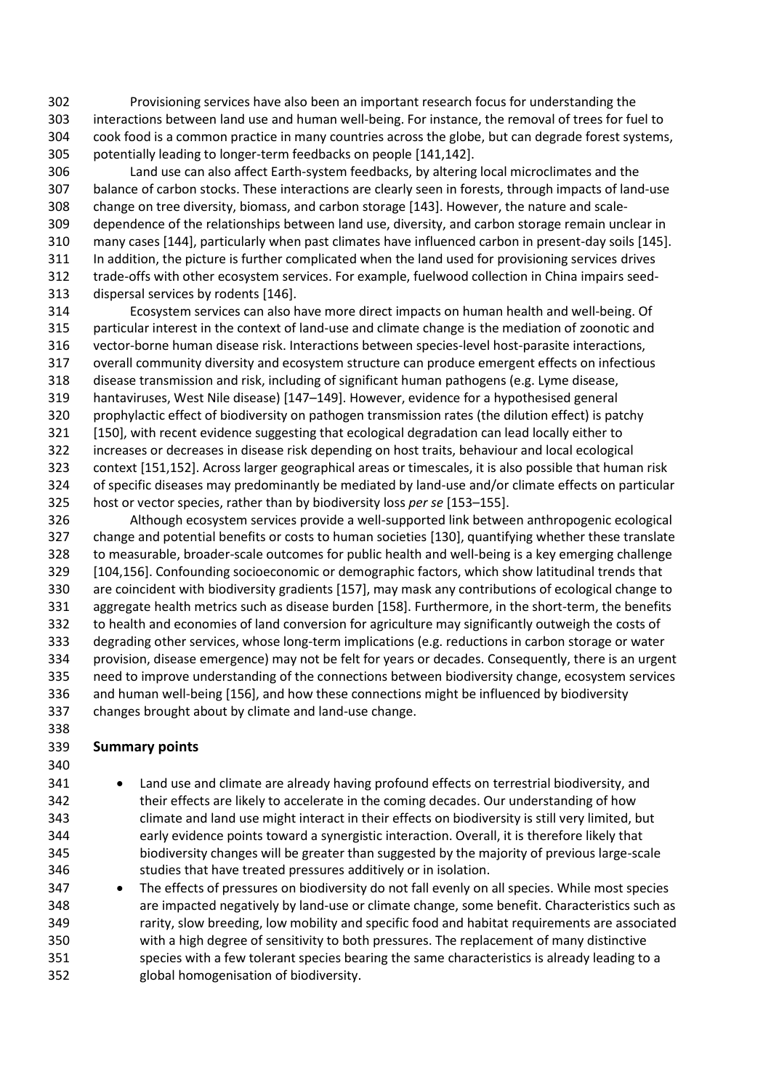Provisioning services have also been an important research focus for understanding the interactions between land use and human well-being. For instance, the removal of trees for fuel to cook food is a common practice in many countries across the globe, but can degrade forest systems, potentially leading to longer-term feedbacks on people [141,142].

 Land use can also affect Earth-system feedbacks, by altering local microclimates and the balance of carbon stocks. These interactions are clearly seen in forests, through impacts of land-use change on tree diversity, biomass, and carbon storage [143]. However, the nature and scale- dependence of the relationships between land use, diversity, and carbon storage remain unclear in many cases [144], particularly when past climates have influenced carbon in present-day soils [145]. In addition, the picture is further complicated when the land used for provisioning services drives trade-offs with other ecosystem services. For example, fuelwood collection in China impairs seed-dispersal services by rodents [146].

 Ecosystem services can also have more direct impacts on human health and well-being. Of particular interest in the context of land-use and climate change is the mediation of zoonotic and vector-borne human disease risk. Interactions between species-level host-parasite interactions, overall community diversity and ecosystem structure can produce emergent effects on infectious disease transmission and risk, including of significant human pathogens (e.g. Lyme disease, hantaviruses, West Nile disease) [147–149]. However, evidence for a hypothesised general prophylactic effect of biodiversity on pathogen transmission rates (the dilution effect) is patchy [150], with recent evidence suggesting that ecological degradation can lead locally either to increases or decreases in disease risk depending on host traits, behaviour and local ecological context [151,152]. Across larger geographical areas or timescales, it is also possible that human risk of specific diseases may predominantly be mediated by land-use and/or climate effects on particular host or vector species, rather than by biodiversity loss *per se* [153–155].

 Although ecosystem services provide a well-supported link between anthropogenic ecological change and potential benefits or costs to human societies [130], quantifying whether these translate to measurable, broader-scale outcomes for public health and well-being is a key emerging challenge [104,156]. Confounding socioeconomic or demographic factors, which show latitudinal trends that are coincident with biodiversity gradients [157], may mask any contributions of ecological change to aggregate health metrics such as disease burden [158]. Furthermore, in the short-term, the benefits to health and economies of land conversion for agriculture may significantly outweigh the costs of degrading other services, whose long-term implications (e.g. reductions in carbon storage or water provision, disease emergence) may not be felt for years or decades. Consequently, there is an urgent need to improve understanding of the connections between biodiversity change, ecosystem services and human well-being [156], and how these connections might be influenced by biodiversity changes brought about by climate and land-use change. 

#### **Summary points**

- 341 Land use and climate are already having profound effects on terrestrial biodiversity, and their effects are likely to accelerate in the coming decades. Our understanding of how climate and land use might interact in their effects on biodiversity is still very limited, but early evidence points toward a synergistic interaction. Overall, it is therefore likely that biodiversity changes will be greater than suggested by the majority of previous large-scale studies that have treated pressures additively or in isolation.
- 347 The effects of pressures on biodiversity do not fall evenly on all species. While most species are impacted negatively by land-use or climate change, some benefit. Characteristics such as rarity, slow breeding, low mobility and specific food and habitat requirements are associated with a high degree of sensitivity to both pressures. The replacement of many distinctive species with a few tolerant species bearing the same characteristics is already leading to a global homogenisation of biodiversity.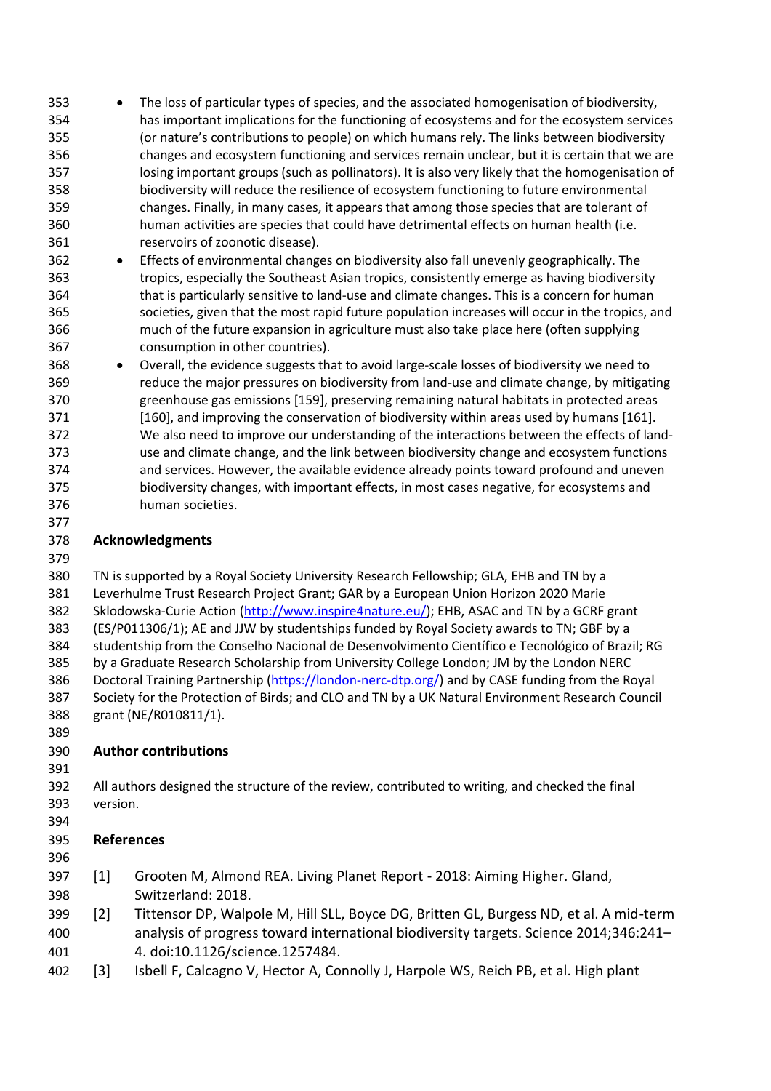The loss of particular types of species, and the associated homogenisation of biodiversity, has important implications for the functioning of ecosystems and for the ecosystem services (or nature's contributions to people) on which humans rely. The links between biodiversity changes and ecosystem functioning and services remain unclear, but it is certain that we are losing important groups (such as pollinators). It is also very likely that the homogenisation of biodiversity will reduce the resilience of ecosystem functioning to future environmental changes. Finally, in many cases, it appears that among those species that are tolerant of human activities are species that could have detrimental effects on human health (i.e. reservoirs of zoonotic disease).

- Effects of environmental changes on biodiversity also fall unevenly geographically. The tropics, especially the Southeast Asian tropics, consistently emerge as having biodiversity that is particularly sensitive to land-use and climate changes. This is a concern for human societies, given that the most rapid future population increases will occur in the tropics, and much of the future expansion in agriculture must also take place here (often supplying consumption in other countries).
- 368 Overall, the evidence suggests that to avoid large-scale losses of biodiversity we need to reduce the major pressures on biodiversity from land-use and climate change, by mitigating greenhouse gas emissions [159], preserving remaining natural habitats in protected areas [160], and improving the conservation of biodiversity within areas used by humans [161]. We also need to improve our understanding of the interactions between the effects of land- use and climate change, and the link between biodiversity change and ecosystem functions and services. However, the available evidence already points toward profound and uneven biodiversity changes, with important effects, in most cases negative, for ecosystems and human societies.

### **Acknowledgments**

 TN is supported by a Royal Society University Research Fellowship; GLA, EHB and TN by a Leverhulme Trust Research Project Grant; GAR by a European Union Horizon 2020 Marie 382 Sklodowska-Curie Action [\(http://www.inspire4nature.eu/\)](http://www.inspire4nature.eu/); EHB, ASAC and TN by a GCRF grant (ES/P011306/1); AE and JJW by studentships funded by Royal Society awards to TN; GBF by a studentship from the Conselho Nacional de Desenvolvimento Científico e Tecnológico of Brazil; RG by a Graduate Research Scholarship from University College London; JM by the London NERC Doctoral Training Partnership [\(https://london-nerc-dtp.org/\)](https://london-nerc-dtp.org/) and by CASE funding from the Royal Society for the Protection of Birds; and CLO and TN by a UK Natural Environment Research Council grant (NE/R010811/1).

### **Author contributions**

 All authors designed the structure of the review, contributed to writing, and checked the final version.

### **References**

- 
- [1] Grooten M, Almond REA. Living Planet Report 2018: Aiming Higher. Gland, Switzerland: 2018.
- [2] Tittensor DP, Walpole M, Hill SLL, Boyce DG, Britten GL, Burgess ND, et al. A mid-term analysis of progress toward international biodiversity targets. Science 2014;346:241– 4. doi:10.1126/science.1257484.
- [3] Isbell F, Calcagno V, Hector A, Connolly J, Harpole WS, Reich PB, et al. High plant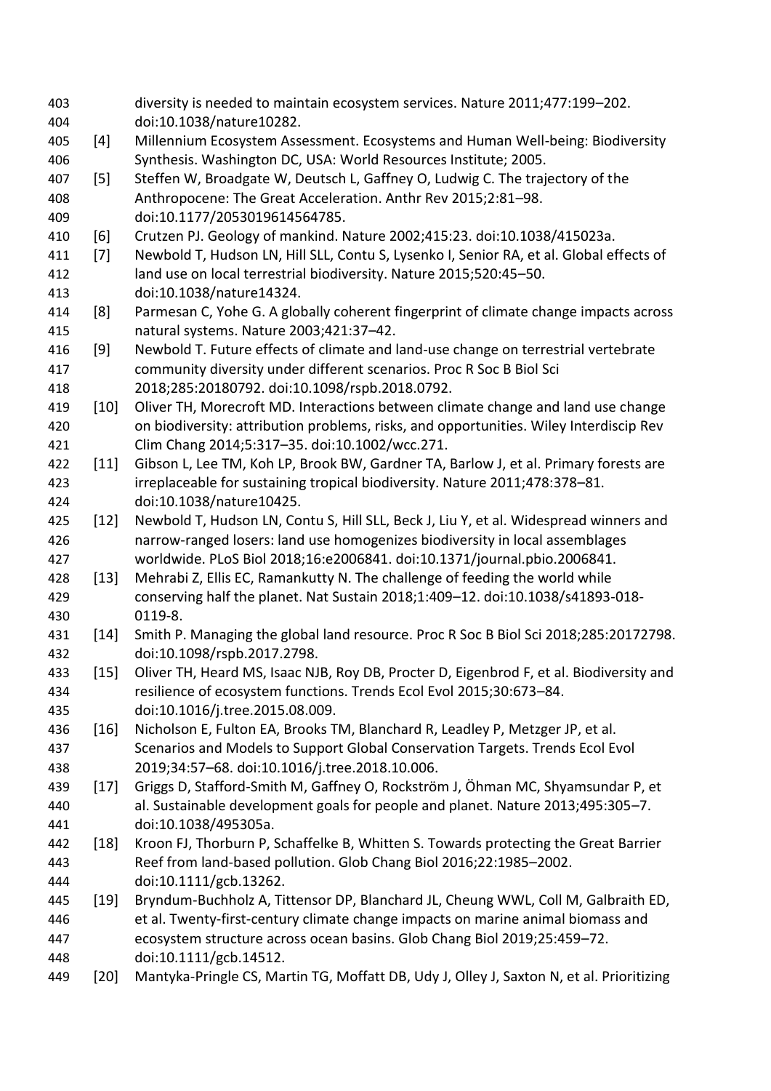diversity is needed to maintain ecosystem services. Nature 2011;477:199–202. doi:10.1038/nature10282. [4] Millennium Ecosystem Assessment. Ecosystems and Human Well-being: Biodiversity Synthesis. Washington DC, USA: World Resources Institute; 2005. [5] Steffen W, Broadgate W, Deutsch L, Gaffney O, Ludwig C. The trajectory of the Anthropocene: The Great Acceleration. Anthr Rev 2015;2:81–98. doi:10.1177/2053019614564785. [6] Crutzen PJ. Geology of mankind. Nature 2002;415:23. doi:10.1038/415023a. [7] Newbold T, Hudson LN, Hill SLL, Contu S, Lysenko I, Senior RA, et al. Global effects of land use on local terrestrial biodiversity. Nature 2015;520:45–50. doi:10.1038/nature14324. [8] Parmesan C, Yohe G. A globally coherent fingerprint of climate change impacts across natural systems. Nature 2003;421:37–42. [9] Newbold T. Future effects of climate and land-use change on terrestrial vertebrate community diversity under different scenarios. Proc R Soc B Biol Sci 2018;285:20180792. doi:10.1098/rspb.2018.0792. [10] Oliver TH, Morecroft MD. Interactions between climate change and land use change on biodiversity: attribution problems, risks, and opportunities. Wiley Interdiscip Rev Clim Chang 2014;5:317–35. doi:10.1002/wcc.271. 422 [11] Gibson L, Lee TM, Koh LP, Brook BW, Gardner TA, Barlow J, et al. Primary forests are irreplaceable for sustaining tropical biodiversity. Nature 2011;478:378–81. doi:10.1038/nature10425. 425 [12] Newbold T, Hudson LN, Contu S, Hill SLL, Beck J, Liu Y, et al. Widespread winners and narrow-ranged losers: land use homogenizes biodiversity in local assemblages worldwide. PLoS Biol 2018;16:e2006841. doi:10.1371/journal.pbio.2006841. 428 [13] Mehrabi Z, Ellis EC, Ramankutty N. The challenge of feeding the world while conserving half the planet. Nat Sustain 2018;1:409–12. doi:10.1038/s41893-018- 0119-8. [14] Smith P. Managing the global land resource. Proc R Soc B Biol Sci 2018;285:20172798. doi:10.1098/rspb.2017.2798. 433 [15] Oliver TH, Heard MS, Isaac NJB, Roy DB, Procter D, Eigenbrod F, et al. Biodiversity and resilience of ecosystem functions. Trends Ecol Evol 2015;30:673–84. doi:10.1016/j.tree.2015.08.009. [16] Nicholson E, Fulton EA, Brooks TM, Blanchard R, Leadley P, Metzger JP, et al. Scenarios and Models to Support Global Conservation Targets. Trends Ecol Evol 2019;34:57–68. doi:10.1016/j.tree.2018.10.006. [17] Griggs D, Stafford-Smith M, Gaffney O, Rockström J, Öhman MC, Shyamsundar P, et al. Sustainable development goals for people and planet. Nature 2013;495:305–7. doi:10.1038/495305a. [18] Kroon FJ, Thorburn P, Schaffelke B, Whitten S. Towards protecting the Great Barrier Reef from land-based pollution. Glob Chang Biol 2016;22:1985–2002. doi:10.1111/gcb.13262. [19] Bryndum-Buchholz A, Tittensor DP, Blanchard JL, Cheung WWL, Coll M, Galbraith ED, et al. Twenty-first-century climate change impacts on marine animal biomass and ecosystem structure across ocean basins. Glob Chang Biol 2019;25:459–72. doi:10.1111/gcb.14512. [20] Mantyka-Pringle CS, Martin TG, Moffatt DB, Udy J, Olley J, Saxton N, et al. Prioritizing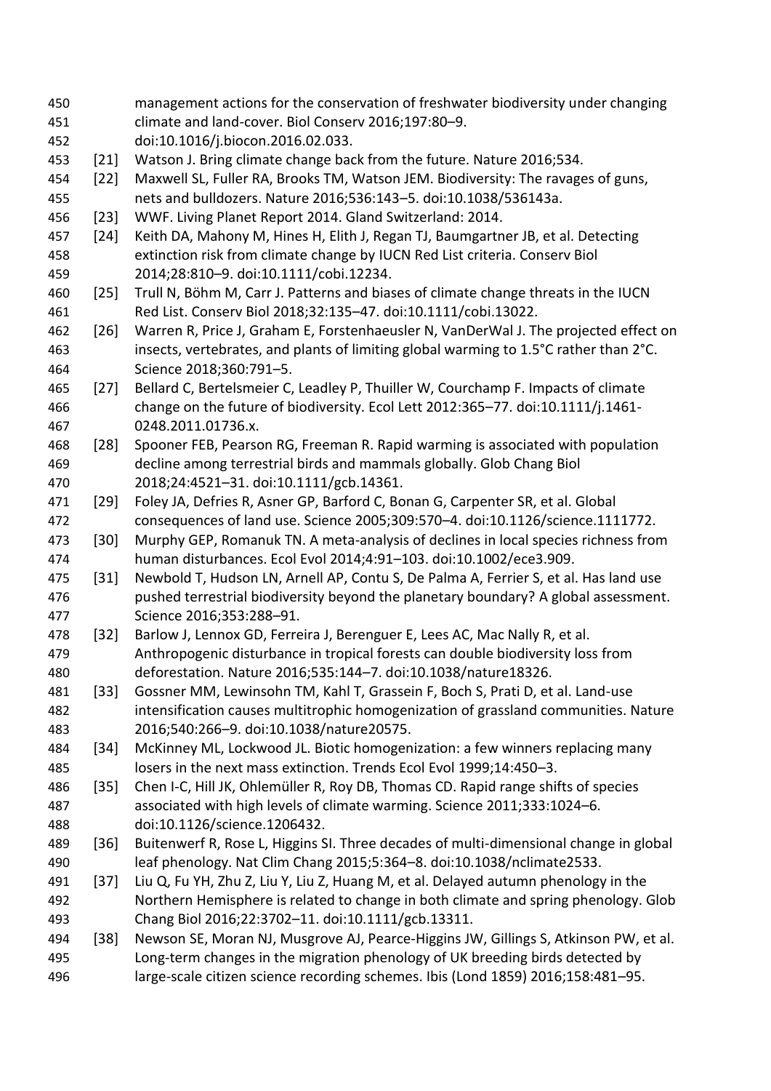management actions for the conservation of freshwater biodiversity under changing climate and land-cover. Biol Conserv 2016;197:80–9. doi:10.1016/j.biocon.2016.02.033. [21] Watson J. Bring climate change back from the future. Nature 2016;534. [22] Maxwell SL, Fuller RA, Brooks TM, Watson JEM. Biodiversity: The ravages of guns, nets and bulldozers. Nature 2016;536:143–5. doi:10.1038/536143a. [23] WWF. Living Planet Report 2014. Gland Switzerland: 2014. [24] Keith DA, Mahony M, Hines H, Elith J, Regan TJ, Baumgartner JB, et al. Detecting extinction risk from climate change by IUCN Red List criteria. Conserv Biol 2014;28:810–9. doi:10.1111/cobi.12234. [25] Trull N, Böhm M, Carr J. Patterns and biases of climate change threats in the IUCN Red List. Conserv Biol 2018;32:135–47. doi:10.1111/cobi.13022. [26] Warren R, Price J, Graham E, Forstenhaeusler N, VanDerWal J. The projected effect on insects, vertebrates, and plants of limiting global warming to 1.5°C rather than 2°C. Science 2018;360:791–5. [27] Bellard C, Bertelsmeier C, Leadley P, Thuiller W, Courchamp F. Impacts of climate change on the future of biodiversity. Ecol Lett 2012:365–77. doi:10.1111/j.1461- 0248.2011.01736.x. [28] Spooner FEB, Pearson RG, Freeman R. Rapid warming is associated with population decline among terrestrial birds and mammals globally. Glob Chang Biol 2018;24:4521–31. doi:10.1111/gcb.14361. [29] Foley JA, Defries R, Asner GP, Barford C, Bonan G, Carpenter SR, et al. Global consequences of land use. Science 2005;309:570–4. doi:10.1126/science.1111772. 473 [30] Murphy GEP, Romanuk TN. A meta-analysis of declines in local species richness from human disturbances. Ecol Evol 2014;4:91–103. doi:10.1002/ece3.909. 475 [31] Newbold T, Hudson LN, Arnell AP, Contu S, De Palma A, Ferrier S, et al. Has land use pushed terrestrial biodiversity beyond the planetary boundary? A global assessment. Science 2016;353:288–91. 478 [32] Barlow J, Lennox GD, Ferreira J, Berenguer E, Lees AC, Mac Nally R, et al. Anthropogenic disturbance in tropical forests can double biodiversity loss from deforestation. Nature 2016;535:144–7. doi:10.1038/nature18326. [33] Gossner MM, Lewinsohn TM, Kahl T, Grassein F, Boch S, Prati D, et al. Land-use intensification causes multitrophic homogenization of grassland communities. Nature 2016;540:266–9. doi:10.1038/nature20575. [34] McKinney ML, Lockwood JL. Biotic homogenization: a few winners replacing many losers in the next mass extinction. Trends Ecol Evol 1999;14:450–3. [35] Chen I-C, Hill JK, Ohlemüller R, Roy DB, Thomas CD. Rapid range shifts of species associated with high levels of climate warming. Science 2011;333:1024–6. doi:10.1126/science.1206432. [36] Buitenwerf R, Rose L, Higgins SI. Three decades of multi-dimensional change in global leaf phenology. Nat Clim Chang 2015;5:364–8. doi:10.1038/nclimate2533. [37] Liu Q, Fu YH, Zhu Z, Liu Y, Liu Z, Huang M, et al. Delayed autumn phenology in the Northern Hemisphere is related to change in both climate and spring phenology. Glob Chang Biol 2016;22:3702–11. doi:10.1111/gcb.13311. 494 [38] Newson SE, Moran NJ, Musgrove AJ, Pearce-Higgins JW, Gillings S, Atkinson PW, et al. Long‐term changes in the migration phenology of UK breeding birds detected by large‐scale citizen science recording schemes. Ibis (Lond 1859) 2016;158:481–95.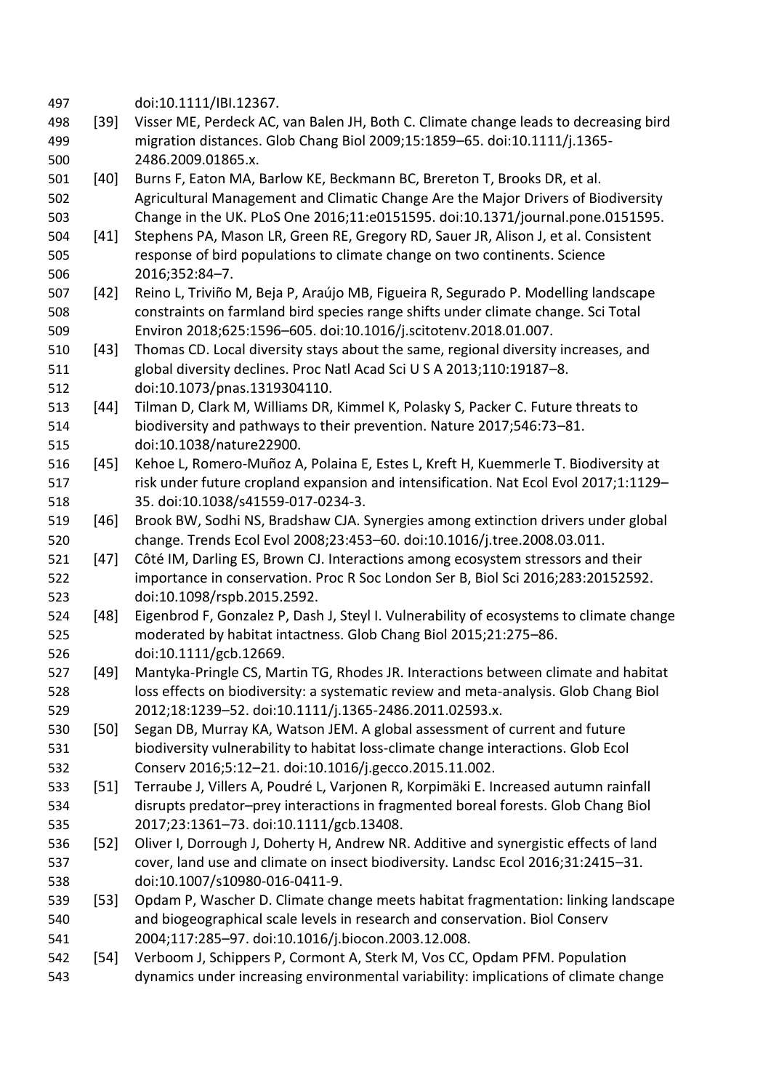| 497 |        | doi:10.1111/IBI.12367.                                                                  |
|-----|--------|-----------------------------------------------------------------------------------------|
| 498 | $[39]$ | Visser ME, Perdeck AC, van Balen JH, Both C. Climate change leads to decreasing bird    |
| 499 |        | migration distances. Glob Chang Biol 2009;15:1859-65. doi:10.1111/j.1365-               |
| 500 |        | 2486.2009.01865.x.                                                                      |
| 501 | [40]   | Burns F, Eaton MA, Barlow KE, Beckmann BC, Brereton T, Brooks DR, et al.                |
| 502 |        | Agricultural Management and Climatic Change Are the Major Drivers of Biodiversity       |
| 503 |        | Change in the UK. PLoS One 2016;11:e0151595. doi:10.1371/journal.pone.0151595.          |
| 504 | $[41]$ | Stephens PA, Mason LR, Green RE, Gregory RD, Sauer JR, Alison J, et al. Consistent      |
| 505 |        | response of bird populations to climate change on two continents. Science               |
| 506 |        | 2016;352:84-7.                                                                          |
| 507 | $[42]$ | Reino L, Triviño M, Beja P, Araújo MB, Figueira R, Segurado P. Modelling landscape      |
| 508 |        | constraints on farmland bird species range shifts under climate change. Sci Total       |
| 509 |        | Environ 2018;625:1596-605. doi:10.1016/j.scitotenv.2018.01.007.                         |
| 510 | $[43]$ | Thomas CD. Local diversity stays about the same, regional diversity increases, and      |
| 511 |        | global diversity declines. Proc Natl Acad Sci U S A 2013;110:19187-8.                   |
| 512 |        | doi:10.1073/pnas.1319304110.                                                            |
| 513 | $[44]$ | Tilman D, Clark M, Williams DR, Kimmel K, Polasky S, Packer C. Future threats to        |
| 514 |        | biodiversity and pathways to their prevention. Nature 2017;546:73-81.                   |
| 515 |        | doi:10.1038/nature22900.                                                                |
| 516 | $[45]$ | Kehoe L, Romero-Muñoz A, Polaina E, Estes L, Kreft H, Kuemmerle T. Biodiversity at      |
| 517 |        | risk under future cropland expansion and intensification. Nat Ecol Evol 2017;1:1129-    |
| 518 |        | 35. doi:10.1038/s41559-017-0234-3.                                                      |
| 519 | $[46]$ | Brook BW, Sodhi NS, Bradshaw CJA. Synergies among extinction drivers under global       |
| 520 |        | change. Trends Ecol Evol 2008;23:453-60. doi:10.1016/j.tree.2008.03.011.                |
| 521 | $[47]$ | Côté IM, Darling ES, Brown CJ. Interactions among ecosystem stressors and their         |
| 522 |        | importance in conservation. Proc R Soc London Ser B, Biol Sci 2016;283:20152592.        |
| 523 |        | doi:10.1098/rspb.2015.2592.                                                             |
| 524 | [48]   | Eigenbrod F, Gonzalez P, Dash J, Steyl I. Vulnerability of ecosystems to climate change |
| 525 |        | moderated by habitat intactness. Glob Chang Biol 2015;21:275-86.                        |
| 526 |        | doi:10.1111/gcb.12669.                                                                  |
| 527 | [49]   | Mantyka-Pringle CS, Martin TG, Rhodes JR. Interactions between climate and habitat      |
| 528 |        | loss effects on biodiversity: a systematic review and meta-analysis. Glob Chang Biol    |
| 529 |        | 2012;18:1239-52. doi:10.1111/j.1365-2486.2011.02593.x.                                  |
| 530 | $[50]$ | Segan DB, Murray KA, Watson JEM. A global assessment of current and future              |
| 531 |        | biodiversity vulnerability to habitat loss-climate change interactions. Glob Ecol       |
| 532 |        | Conserv 2016;5:12-21. doi:10.1016/j.gecco.2015.11.002.                                  |
| 533 | $[51]$ | Terraube J, Villers A, Poudré L, Varjonen R, Korpimäki E. Increased autumn rainfall     |
| 534 |        | disrupts predator-prey interactions in fragmented boreal forests. Glob Chang Biol       |
| 535 |        | 2017;23:1361-73. doi:10.1111/gcb.13408.                                                 |
| 536 | $[52]$ | Oliver I, Dorrough J, Doherty H, Andrew NR. Additive and synergistic effects of land    |
| 537 |        | cover, land use and climate on insect biodiversity. Landsc Ecol 2016;31:2415-31.        |
| 538 |        | doi:10.1007/s10980-016-0411-9.                                                          |
| 539 | $[53]$ | Opdam P, Wascher D. Climate change meets habitat fragmentation: linking landscape       |
| 540 |        | and biogeographical scale levels in research and conservation. Biol Conserv             |
| 541 |        | 2004;117:285-97. doi:10.1016/j.biocon.2003.12.008.                                      |
| 542 | $[54]$ | Verboom J, Schippers P, Cormont A, Sterk M, Vos CC, Opdam PFM. Population               |
| 543 |        | dynamics under increasing environmental variability: implications of climate change     |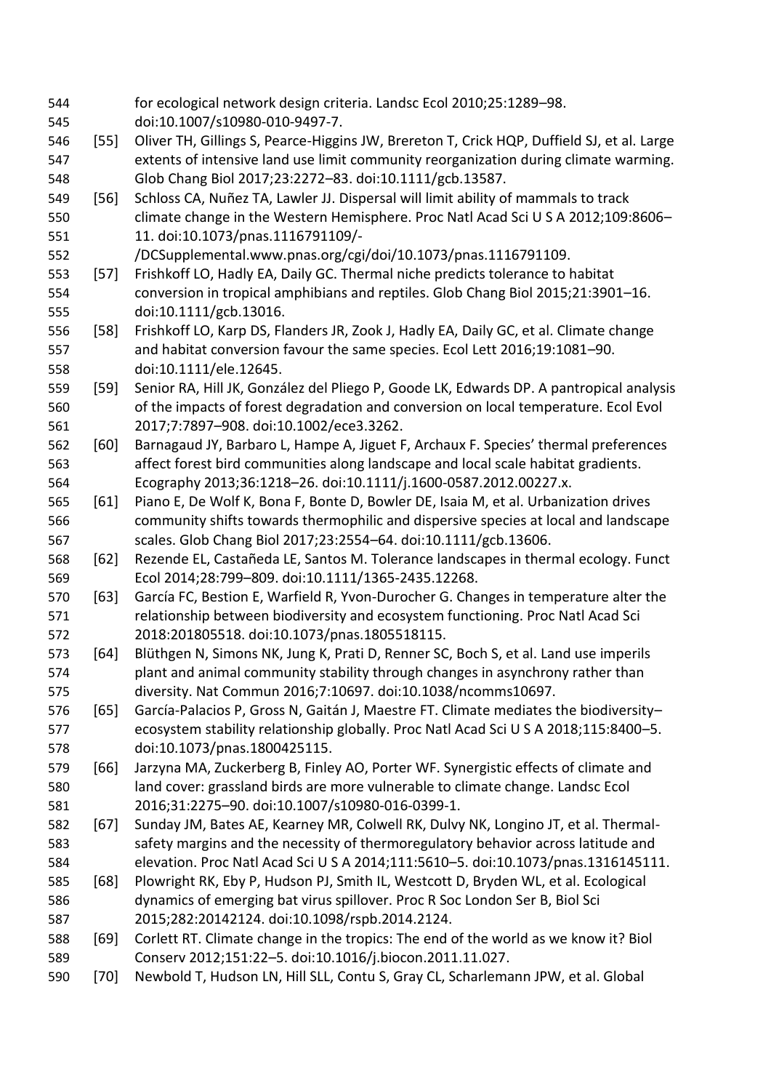for ecological network design criteria. Landsc Ecol 2010;25:1289–98. doi:10.1007/s10980-010-9497-7. [55] Oliver TH, Gillings S, Pearce-Higgins JW, Brereton T, Crick HQP, Duffield SJ, et al. Large extents of intensive land use limit community reorganization during climate warming. Glob Chang Biol 2017;23:2272–83. doi:10.1111/gcb.13587. [56] Schloss CA, Nuñez TA, Lawler JJ. Dispersal will limit ability of mammals to track climate change in the Western Hemisphere. Proc Natl Acad Sci U S A 2012;109:8606– 11. doi:10.1073/pnas.1116791109/- /DCSupplemental.www.pnas.org/cgi/doi/10.1073/pnas.1116791109. [57] Frishkoff LO, Hadly EA, Daily GC. Thermal niche predicts tolerance to habitat conversion in tropical amphibians and reptiles. Glob Chang Biol 2015;21:3901–16. doi:10.1111/gcb.13016. [58] Frishkoff LO, Karp DS, Flanders JR, Zook J, Hadly EA, Daily GC, et al. Climate change and habitat conversion favour the same species. Ecol Lett 2016;19:1081–90. doi:10.1111/ele.12645. [59] Senior RA, Hill JK, González del Pliego P, Goode LK, Edwards DP. A pantropical analysis of the impacts of forest degradation and conversion on local temperature. Ecol Evol 2017;7:7897–908. doi:10.1002/ece3.3262. [60] Barnagaud JY, Barbaro L, Hampe A, Jiguet F, Archaux F. Species' thermal preferences affect forest bird communities along landscape and local scale habitat gradients. Ecography 2013;36:1218–26. doi:10.1111/j.1600-0587.2012.00227.x. [61] Piano E, De Wolf K, Bona F, Bonte D, Bowler DE, Isaia M, et al. Urbanization drives community shifts towards thermophilic and dispersive species at local and landscape scales. Glob Chang Biol 2017;23:2554–64. doi:10.1111/gcb.13606. [62] Rezende EL, Castañeda LE, Santos M. Tolerance landscapes in thermal ecology. Funct Ecol 2014;28:799–809. doi:10.1111/1365-2435.12268. [63] García FC, Bestion E, Warfield R, Yvon-Durocher G. Changes in temperature alter the relationship between biodiversity and ecosystem functioning. Proc Natl Acad Sci 2018:201805518. doi:10.1073/pnas.1805518115. [64] Blüthgen N, Simons NK, Jung K, Prati D, Renner SC, Boch S, et al. Land use imperils plant and animal community stability through changes in asynchrony rather than diversity. Nat Commun 2016;7:10697. doi:10.1038/ncomms10697. [65] García-Palacios P, Gross N, Gaitán J, Maestre FT. Climate mediates the biodiversity– ecosystem stability relationship globally. Proc Natl Acad Sci U S A 2018;115:8400–5. doi:10.1073/pnas.1800425115. [66] Jarzyna MA, Zuckerberg B, Finley AO, Porter WF. Synergistic effects of climate and land cover: grassland birds are more vulnerable to climate change. Landsc Ecol 2016;31:2275–90. doi:10.1007/s10980-016-0399-1. [67] Sunday JM, Bates AE, Kearney MR, Colwell RK, Dulvy NK, Longino JT, et al. Thermal- safety margins and the necessity of thermoregulatory behavior across latitude and elevation. Proc Natl Acad Sci U S A 2014;111:5610–5. doi:10.1073/pnas.1316145111. [68] Plowright RK, Eby P, Hudson PJ, Smith IL, Westcott D, Bryden WL, et al. Ecological dynamics of emerging bat virus spillover. Proc R Soc London Ser B, Biol Sci 2015;282:20142124. doi:10.1098/rspb.2014.2124. [69] Corlett RT. Climate change in the tropics: The end of the world as we know it? Biol Conserv 2012;151:22–5. doi:10.1016/j.biocon.2011.11.027. [70] Newbold T, Hudson LN, Hill SLL, Contu S, Gray CL, Scharlemann JPW, et al. Global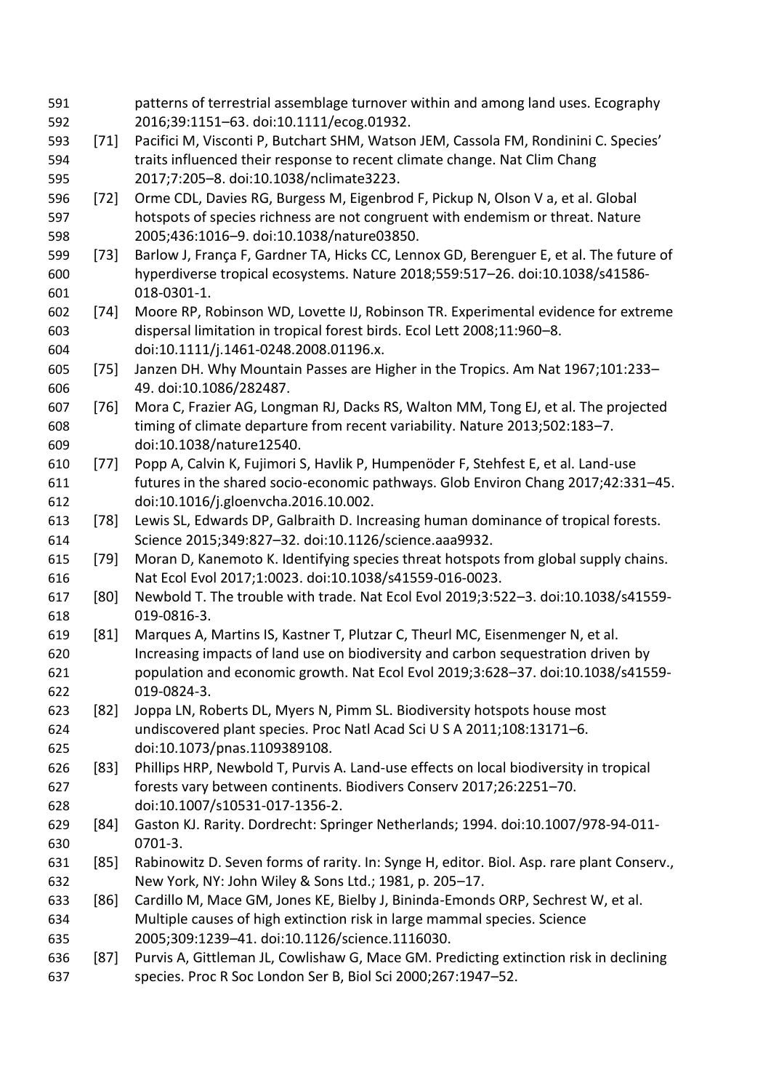| 591 |        | patterns of terrestrial assemblage turnover within and among land uses. Ecography         |
|-----|--------|-------------------------------------------------------------------------------------------|
| 592 |        | 2016;39:1151-63. doi:10.1111/ecog.01932.                                                  |
| 593 | $[71]$ | Pacifici M, Visconti P, Butchart SHM, Watson JEM, Cassola FM, Rondinini C. Species'       |
| 594 |        | traits influenced their response to recent climate change. Nat Clim Chang                 |
| 595 |        | 2017;7:205-8. doi:10.1038/nclimate3223.                                                   |
| 596 | $[72]$ | Orme CDL, Davies RG, Burgess M, Eigenbrod F, Pickup N, Olson V a, et al. Global           |
| 597 |        | hotspots of species richness are not congruent with endemism or threat. Nature            |
| 598 |        | 2005;436:1016-9. doi:10.1038/nature03850.                                                 |
| 599 | $[73]$ | Barlow J, França F, Gardner TA, Hicks CC, Lennox GD, Berenguer E, et al. The future of    |
| 600 |        | hyperdiverse tropical ecosystems. Nature 2018;559:517-26. doi:10.1038/s41586-             |
| 601 |        | 018-0301-1.                                                                               |
| 602 | $[74]$ | Moore RP, Robinson WD, Lovette IJ, Robinson TR. Experimental evidence for extreme         |
| 603 |        | dispersal limitation in tropical forest birds. Ecol Lett 2008;11:960-8.                   |
| 604 |        | doi:10.1111/j.1461-0248.2008.01196.x.                                                     |
| 605 | $[75]$ | Janzen DH. Why Mountain Passes are Higher in the Tropics. Am Nat 1967;101:233-            |
| 606 |        | 49. doi:10.1086/282487.                                                                   |
| 607 | $[76]$ | Mora C, Frazier AG, Longman RJ, Dacks RS, Walton MM, Tong EJ, et al. The projected        |
| 608 |        | timing of climate departure from recent variability. Nature 2013;502:183-7.               |
| 609 |        | doi:10.1038/nature12540.                                                                  |
| 610 | $[77]$ | Popp A, Calvin K, Fujimori S, Havlik P, Humpenöder F, Stehfest E, et al. Land-use         |
| 611 |        | futures in the shared socio-economic pathways. Glob Environ Chang 2017;42:331-45.         |
| 612 |        | doi:10.1016/j.gloenvcha.2016.10.002.                                                      |
| 613 | $[78]$ | Lewis SL, Edwards DP, Galbraith D. Increasing human dominance of tropical forests.        |
| 614 |        | Science 2015;349:827-32. doi:10.1126/science.aaa9932.                                     |
| 615 | $[79]$ | Moran D, Kanemoto K. Identifying species threat hotspots from global supply chains.       |
| 616 |        | Nat Ecol Evol 2017;1:0023. doi:10.1038/s41559-016-0023.                                   |
| 617 | [80]   | Newbold T. The trouble with trade. Nat Ecol Evol 2019;3:522-3. doi:10.1038/s41559-        |
| 618 |        | 019-0816-3.                                                                               |
| 619 | $[81]$ | Marques A, Martins IS, Kastner T, Plutzar C, Theurl MC, Eisenmenger N, et al.             |
| 620 |        | Increasing impacts of land use on biodiversity and carbon sequestration driven by         |
| 621 |        | population and economic growth. Nat Ecol Evol 2019;3:628-37. doi:10.1038/s41559-          |
| 622 |        | 019-0824-3.                                                                               |
| 623 | [82]   | Joppa LN, Roberts DL, Myers N, Pimm SL. Biodiversity hotspots house most                  |
| 624 |        | undiscovered plant species. Proc Natl Acad Sci U S A 2011;108:13171-6.                    |
| 625 |        | doi:10.1073/pnas.1109389108.                                                              |
| 626 | [83]   | Phillips HRP, Newbold T, Purvis A. Land-use effects on local biodiversity in tropical     |
| 627 |        | forests vary between continents. Biodivers Conserv 2017;26:2251-70.                       |
| 628 |        | doi:10.1007/s10531-017-1356-2.                                                            |
| 629 | $[84]$ | Gaston KJ. Rarity. Dordrecht: Springer Netherlands; 1994. doi:10.1007/978-94-011-         |
| 630 |        | 0701-3.                                                                                   |
| 631 | [85]   | Rabinowitz D. Seven forms of rarity. In: Synge H, editor. Biol. Asp. rare plant Conserv., |
| 632 |        | New York, NY: John Wiley & Sons Ltd.; 1981, p. 205-17.                                    |
| 633 | [86]   | Cardillo M, Mace GM, Jones KE, Bielby J, Bininda-Emonds ORP, Sechrest W, et al.           |
| 634 |        | Multiple causes of high extinction risk in large mammal species. Science                  |
| 635 |        | 2005;309:1239-41. doi:10.1126/science.1116030.                                            |
| 636 | $[87]$ | Purvis A, Gittleman JL, Cowlishaw G, Mace GM. Predicting extinction risk in declining     |
| 637 |        | species. Proc R Soc London Ser B, Biol Sci 2000;267:1947-52.                              |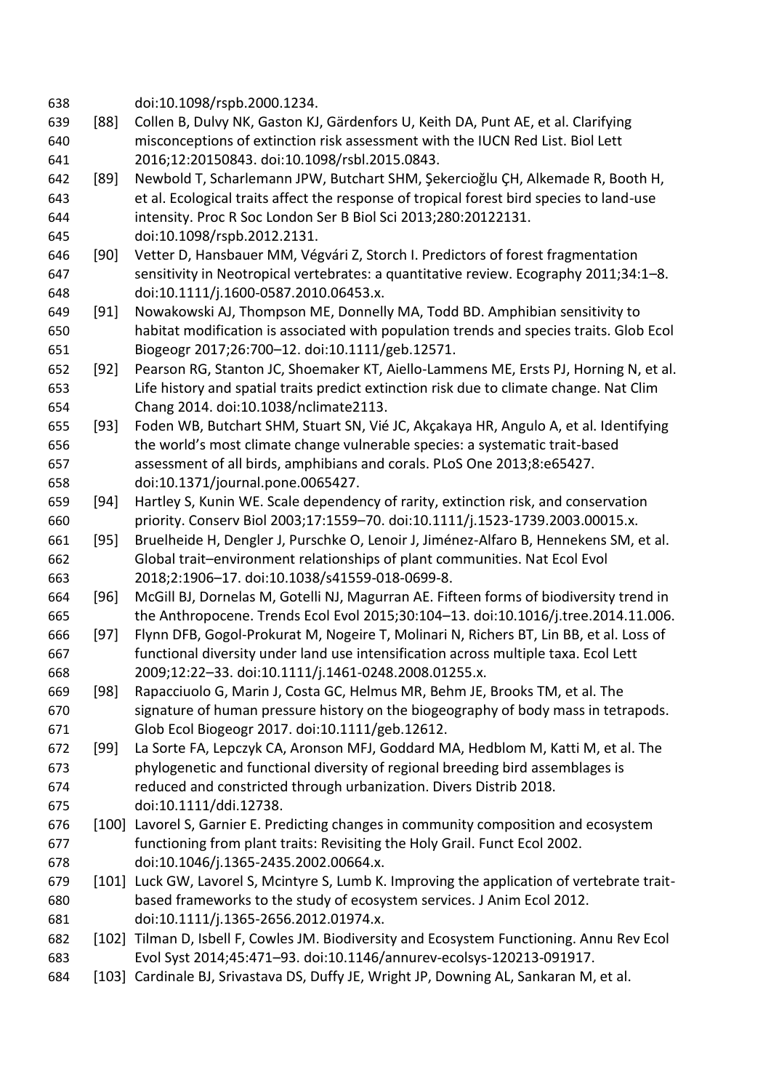| 638        |        | doi:10.1098/rspb.2000.1234.                                                                                     |
|------------|--------|-----------------------------------------------------------------------------------------------------------------|
| 639        | [88]   | Collen B, Dulvy NK, Gaston KJ, Gärdenfors U, Keith DA, Punt AE, et al. Clarifying                               |
| 640        |        | misconceptions of extinction risk assessment with the IUCN Red List. Biol Lett                                  |
| 641        |        | 2016;12:20150843. doi:10.1098/rsbl.2015.0843.                                                                   |
| 642        | [89]   | Newbold T, Scharlemann JPW, Butchart SHM, Şekercioğlu ÇH, Alkemade R, Booth H,                                  |
| 643        |        | et al. Ecological traits affect the response of tropical forest bird species to land-use                        |
| 644        |        | intensity. Proc R Soc London Ser B Biol Sci 2013;280:20122131.                                                  |
| 645        |        | doi:10.1098/rspb.2012.2131.                                                                                     |
| 646        | [90]   | Vetter D, Hansbauer MM, Végvári Z, Storch I. Predictors of forest fragmentation                                 |
| 647        |        | sensitivity in Neotropical vertebrates: a quantitative review. Ecography 2011;34:1-8.                           |
| 648        |        | doi:10.1111/j.1600-0587.2010.06453.x.                                                                           |
| 649        | [91]   | Nowakowski AJ, Thompson ME, Donnelly MA, Todd BD. Amphibian sensitivity to                                      |
| 650        |        | habitat modification is associated with population trends and species traits. Glob Ecol                         |
| 651        |        | Biogeogr 2017;26:700-12. doi:10.1111/geb.12571.                                                                 |
| 652        | $[92]$ | Pearson RG, Stanton JC, Shoemaker KT, Aiello-Lammens ME, Ersts PJ, Horning N, et al.                            |
| 653        |        | Life history and spatial traits predict extinction risk due to climate change. Nat Clim                         |
| 654        |        | Chang 2014. doi:10.1038/nclimate2113.                                                                           |
| 655        | $[93]$ | Foden WB, Butchart SHM, Stuart SN, Vié JC, Akçakaya HR, Angulo A, et al. Identifying                            |
| 656        |        | the world's most climate change vulnerable species: a systematic trait-based                                    |
| 657        |        | assessment of all birds, amphibians and corals. PLoS One 2013;8:e65427.                                         |
| 658        |        | doi:10.1371/journal.pone.0065427.                                                                               |
| 659        | [94]   | Hartley S, Kunin WE. Scale dependency of rarity, extinction risk, and conservation                              |
| 660        |        | priority. Conserv Biol 2003;17:1559-70. doi:10.1111/j.1523-1739.2003.00015.x.                                   |
| 661        | $[95]$ | Bruelheide H, Dengler J, Purschke O, Lenoir J, Jiménez-Alfaro B, Hennekens SM, et al.                           |
| 662        |        | Global trait-environment relationships of plant communities. Nat Ecol Evol                                      |
| 663        |        | 2018;2:1906-17. doi:10.1038/s41559-018-0699-8.                                                                  |
| 664        | $[96]$ | McGill BJ, Dornelas M, Gotelli NJ, Magurran AE. Fifteen forms of biodiversity trend in                          |
| 665        |        | the Anthropocene. Trends Ecol Evol 2015;30:104-13. doi:10.1016/j.tree.2014.11.006.                              |
| 666        | $[97]$ | Flynn DFB, Gogol-Prokurat M, Nogeire T, Molinari N, Richers BT, Lin BB, et al. Loss of                          |
| 667        |        | functional diversity under land use intensification across multiple taxa. Ecol Lett                             |
| 668        |        | 2009;12:22-33. doi:10.1111/j.1461-0248.2008.01255.x.                                                            |
| 669        | [98]   | Rapacciuolo G, Marin J, Costa GC, Helmus MR, Behm JE, Brooks TM, et al. The                                     |
| 670        |        | signature of human pressure history on the biogeography of body mass in tetrapods.                              |
| 671        |        | Glob Ecol Biogeogr 2017. doi:10.1111/geb.12612.                                                                 |
| 672        | [99]   | La Sorte FA, Lepczyk CA, Aronson MFJ, Goddard MA, Hedblom M, Katti M, et al. The                                |
| 673        |        | phylogenetic and functional diversity of regional breeding bird assemblages is                                  |
| 674        |        | reduced and constricted through urbanization. Divers Distrib 2018.                                              |
| 675        |        | doi:10.1111/ddi.12738.<br>[100] Lavorel S, Garnier E. Predicting changes in community composition and ecosystem |
| 676        |        | functioning from plant traits: Revisiting the Holy Grail. Funct Ecol 2002.                                      |
| 677        |        | doi:10.1046/j.1365-2435.2002.00664.x.                                                                           |
| 678<br>679 |        | [101] Luck GW, Lavorel S, Mcintyre S, Lumb K. Improving the application of vertebrate trait-                    |
| 680        |        | based frameworks to the study of ecosystem services. J Anim Ecol 2012.                                          |
| 681        |        | doi:10.1111/j.1365-2656.2012.01974.x.                                                                           |
| 682        |        | [102] Tilman D, Isbell F, Cowles JM. Biodiversity and Ecosystem Functioning. Annu Rev Ecol                      |
| 683        |        | Evol Syst 2014;45:471-93. doi:10.1146/annurev-ecolsys-120213-091917.                                            |
| 684        |        | [103] Cardinale BJ, Srivastava DS, Duffy JE, Wright JP, Downing AL, Sankaran M, et al.                          |
|            |        |                                                                                                                 |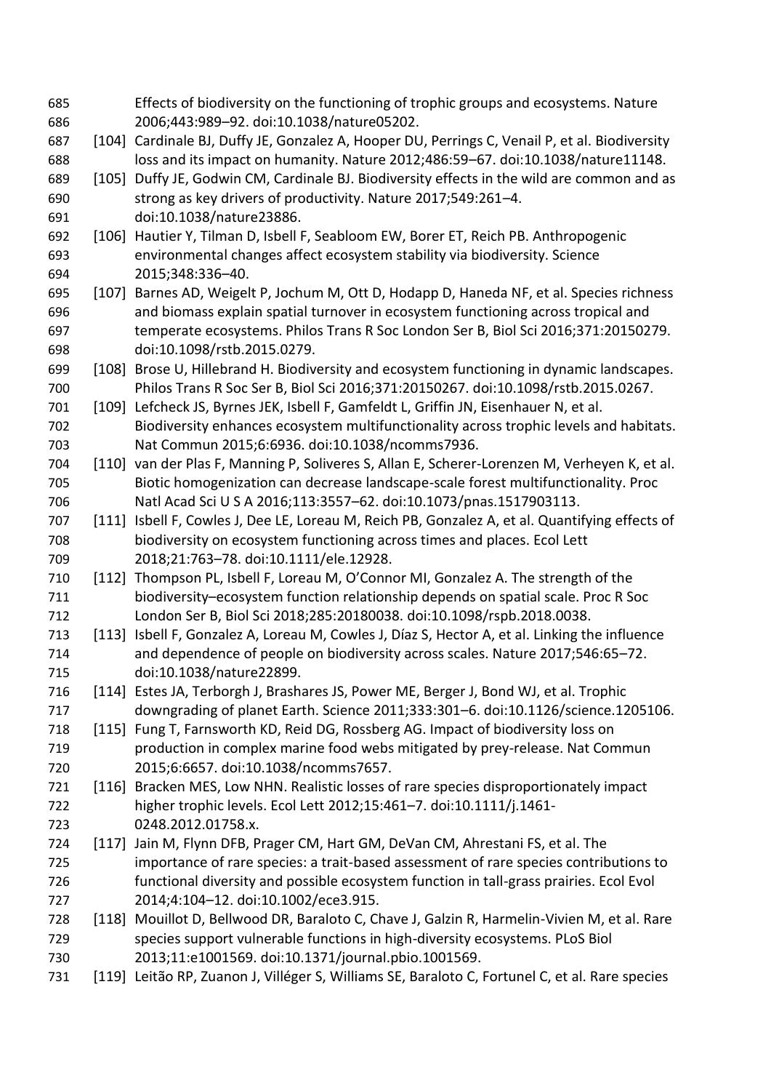Effects of biodiversity on the functioning of trophic groups and ecosystems. Nature 2006;443:989–92. doi:10.1038/nature05202. [104] Cardinale BJ, Duffy JE, Gonzalez A, Hooper DU, Perrings C, Venail P, et al. Biodiversity loss and its impact on humanity. Nature 2012;486:59–67. doi:10.1038/nature11148. [105] Duffy JE, Godwin CM, Cardinale BJ. Biodiversity effects in the wild are common and as strong as key drivers of productivity. Nature 2017;549:261–4. doi:10.1038/nature23886. [106] Hautier Y, Tilman D, Isbell F, Seabloom EW, Borer ET, Reich PB. Anthropogenic environmental changes affect ecosystem stability via biodiversity. Science 2015;348:336–40. [107] Barnes AD, Weigelt P, Jochum M, Ott D, Hodapp D, Haneda NF, et al. Species richness and biomass explain spatial turnover in ecosystem functioning across tropical and temperate ecosystems. Philos Trans R Soc London Ser B, Biol Sci 2016;371:20150279. doi:10.1098/rstb.2015.0279. [108] Brose U, Hillebrand H. Biodiversity and ecosystem functioning in dynamic landscapes. Philos Trans R Soc Ser B, Biol Sci 2016;371:20150267. doi:10.1098/rstb.2015.0267. [109] Lefcheck JS, Byrnes JEK, Isbell F, Gamfeldt L, Griffin JN, Eisenhauer N, et al. Biodiversity enhances ecosystem multifunctionality across trophic levels and habitats. Nat Commun 2015;6:6936. doi:10.1038/ncomms7936. [110] van der Plas F, Manning P, Soliveres S, Allan E, Scherer-Lorenzen M, Verheyen K, et al. Biotic homogenization can decrease landscape-scale forest multifunctionality. Proc Natl Acad Sci U S A 2016;113:3557–62. doi:10.1073/pnas.1517903113. [111] Isbell F, Cowles J, Dee LE, Loreau M, Reich PB, Gonzalez A, et al. Quantifying effects of biodiversity on ecosystem functioning across times and places. Ecol Lett 2018;21:763–78. doi:10.1111/ele.12928. [112] Thompson PL, Isbell F, Loreau M, O'Connor MI, Gonzalez A. The strength of the biodiversity–ecosystem function relationship depends on spatial scale. Proc R Soc London Ser B, Biol Sci 2018;285:20180038. doi:10.1098/rspb.2018.0038. [113] Isbell F, Gonzalez A, Loreau M, Cowles J, Díaz S, Hector A, et al. Linking the influence and dependence of people on biodiversity across scales. Nature 2017;546:65–72. doi:10.1038/nature22899. [114] Estes JA, Terborgh J, Brashares JS, Power ME, Berger J, Bond WJ, et al. Trophic downgrading of planet Earth. Science 2011;333:301–6. doi:10.1126/science.1205106. [115] Fung T, Farnsworth KD, Reid DG, Rossberg AG. Impact of biodiversity loss on production in complex marine food webs mitigated by prey-release. Nat Commun 2015;6:6657. doi:10.1038/ncomms7657. [116] Bracken MES, Low NHN. Realistic losses of rare species disproportionately impact higher trophic levels. Ecol Lett 2012;15:461–7. doi:10.1111/j.1461- 0248.2012.01758.x. [117] Jain M, Flynn DFB, Prager CM, Hart GM, DeVan CM, Ahrestani FS, et al. The importance of rare species: a trait-based assessment of rare species contributions to functional diversity and possible ecosystem function in tall-grass prairies. Ecol Evol 2014;4:104–12. doi:10.1002/ece3.915. [118] Mouillot D, Bellwood DR, Baraloto C, Chave J, Galzin R, Harmelin-Vivien M, et al. Rare species support vulnerable functions in high-diversity ecosystems. PLoS Biol 2013;11:e1001569. doi:10.1371/journal.pbio.1001569. [119] Leitão RP, Zuanon J, Villéger S, Williams SE, Baraloto C, Fortunel C, et al. Rare species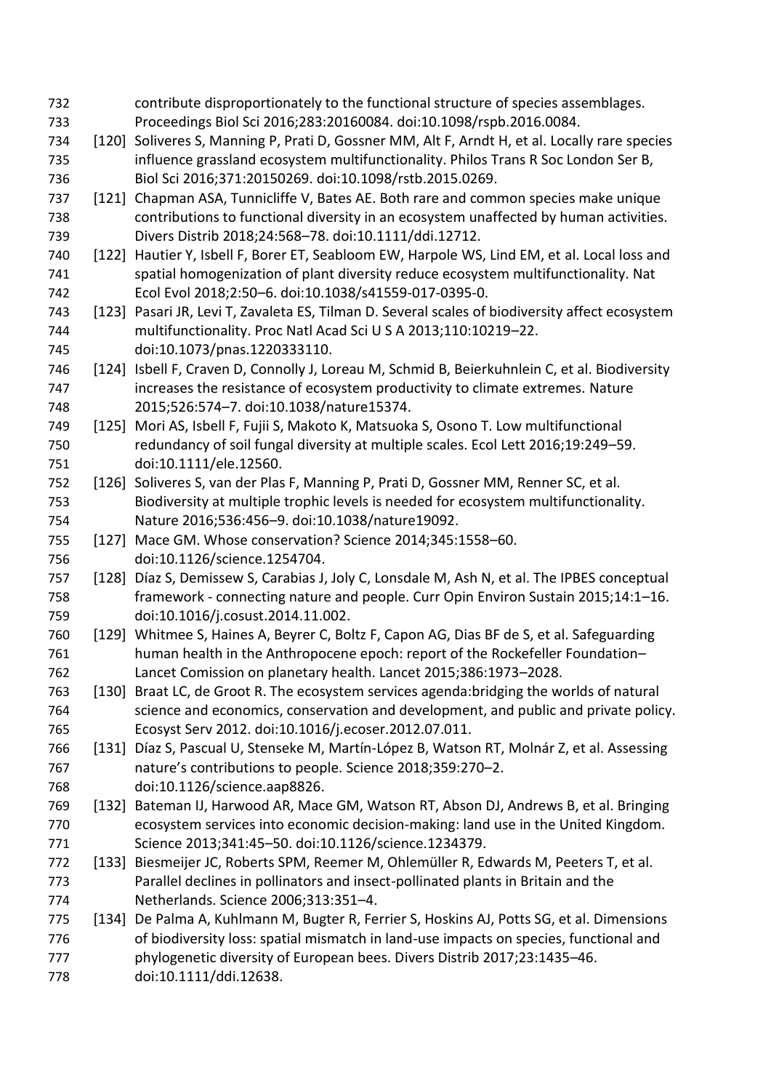contribute disproportionately to the functional structure of species assemblages. Proceedings Biol Sci 2016;283:20160084. doi:10.1098/rspb.2016.0084. [120] Soliveres S, Manning P, Prati D, Gossner MM, Alt F, Arndt H, et al. Locally rare species influence grassland ecosystem multifunctionality. Philos Trans R Soc London Ser B, Biol Sci 2016;371:20150269. doi:10.1098/rstb.2015.0269. [121] Chapman ASA, Tunnicliffe V, Bates AE. Both rare and common species make unique contributions to functional diversity in an ecosystem unaffected by human activities. Divers Distrib 2018;24:568–78. doi:10.1111/ddi.12712. [122] Hautier Y, Isbell F, Borer ET, Seabloom EW, Harpole WS, Lind EM, et al. Local loss and spatial homogenization of plant diversity reduce ecosystem multifunctionality. Nat Ecol Evol 2018;2:50–6. doi:10.1038/s41559-017-0395-0. [123] Pasari JR, Levi T, Zavaleta ES, Tilman D. Several scales of biodiversity affect ecosystem multifunctionality. Proc Natl Acad Sci U S A 2013;110:10219–22. doi:10.1073/pnas.1220333110. [124] Isbell F, Craven D, Connolly J, Loreau M, Schmid B, Beierkuhnlein C, et al. Biodiversity increases the resistance of ecosystem productivity to climate extremes. Nature 2015;526:574–7. doi:10.1038/nature15374. [125] Mori AS, Isbell F, Fujii S, Makoto K, Matsuoka S, Osono T. Low multifunctional redundancy of soil fungal diversity at multiple scales. Ecol Lett 2016;19:249–59. doi:10.1111/ele.12560. [126] Soliveres S, van der Plas F, Manning P, Prati D, Gossner MM, Renner SC, et al. Biodiversity at multiple trophic levels is needed for ecosystem multifunctionality. Nature 2016;536:456–9. doi:10.1038/nature19092. [127] Mace GM. Whose conservation? Science 2014;345:1558–60. doi:10.1126/science.1254704. [128] Díaz S, Demissew S, Carabias J, Joly C, Lonsdale M, Ash N, et al. The IPBES conceptual framework - connecting nature and people. Curr Opin Environ Sustain 2015;14:1–16. doi:10.1016/j.cosust.2014.11.002. [129] Whitmee S, Haines A, Beyrer C, Boltz F, Capon AG, Dias BF de S, et al. Safeguarding human health in the Anthropocene epoch: report of the Rockefeller Foundation– Lancet Comission on planetary health. Lancet 2015;386:1973–2028. [130] Braat LC, de Groot R. The ecosystem services agenda:bridging the worlds of natural science and economics, conservation and development, and public and private policy. Ecosyst Serv 2012. doi:10.1016/j.ecoser.2012.07.011. [131] Díaz S, Pascual U, Stenseke M, Martín-López B, Watson RT, Molnár Z, et al. Assessing nature's contributions to people. Science 2018;359:270–2. doi:10.1126/science.aap8826. [132] Bateman IJ, Harwood AR, Mace GM, Watson RT, Abson DJ, Andrews B, et al. Bringing ecosystem services into economic decision-making: land use in the United Kingdom. Science 2013;341:45–50. doi:10.1126/science.1234379. [133] Biesmeijer JC, Roberts SPM, Reemer M, Ohlemüller R, Edwards M, Peeters T, et al. Parallel declines in pollinators and insect-pollinated plants in Britain and the Netherlands. Science 2006;313:351–4. [134] De Palma A, Kuhlmann M, Bugter R, Ferrier S, Hoskins AJ, Potts SG, et al. Dimensions 776 of biodiversity loss: spatial mismatch in land-use impacts on species, functional and phylogenetic diversity of European bees. Divers Distrib 2017;23:1435–46. doi:10.1111/ddi.12638.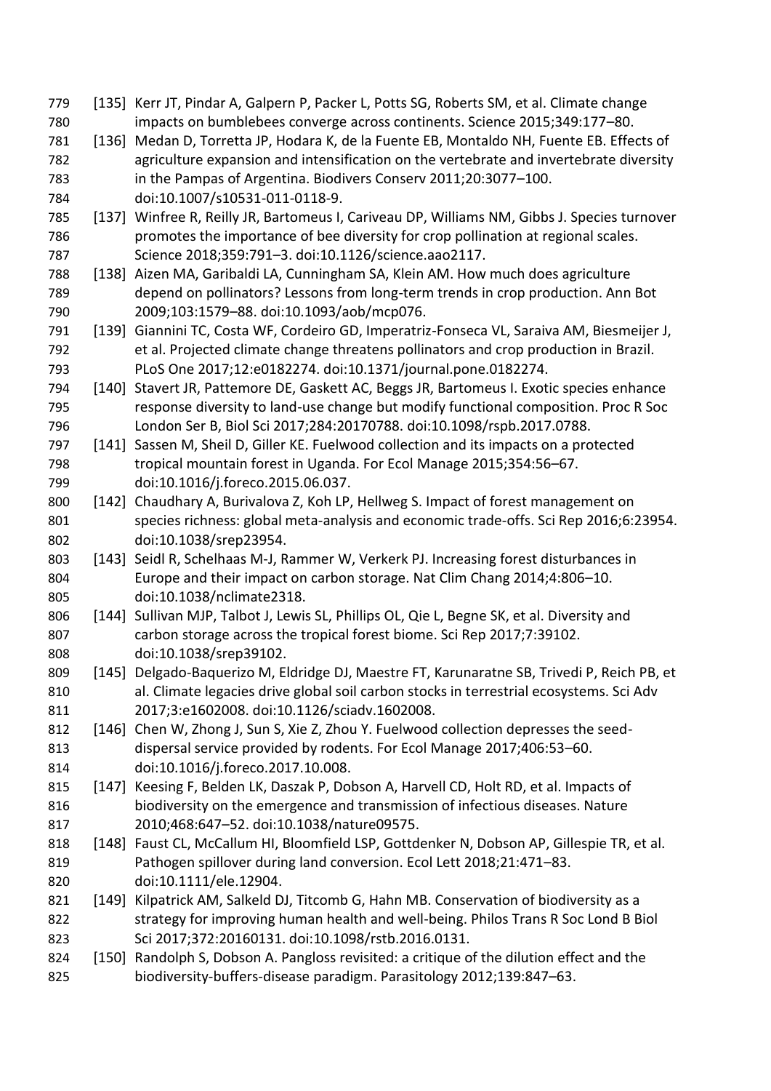[135] Kerr JT, Pindar A, Galpern P, Packer L, Potts SG, Roberts SM, et al. Climate change impacts on bumblebees converge across continents. Science 2015;349:177–80. [136] Medan D, Torretta JP, Hodara K, de la Fuente EB, Montaldo NH, Fuente EB. Effects of agriculture expansion and intensification on the vertebrate and invertebrate diversity in the Pampas of Argentina. Biodivers Conserv 2011;20:3077–100. doi:10.1007/s10531-011-0118-9. [137] Winfree R, Reilly JR, Bartomeus I, Cariveau DP, Williams NM, Gibbs J. Species turnover promotes the importance of bee diversity for crop pollination at regional scales. Science 2018;359:791–3. doi:10.1126/science.aao2117. [138] Aizen MA, Garibaldi LA, Cunningham SA, Klein AM. How much does agriculture depend on pollinators? Lessons from long-term trends in crop production. Ann Bot 2009;103:1579–88. doi:10.1093/aob/mcp076. [139] Giannini TC, Costa WF, Cordeiro GD, Imperatriz-Fonseca VL, Saraiva AM, Biesmeijer J, et al. Projected climate change threatens pollinators and crop production in Brazil. PLoS One 2017;12:e0182274. doi:10.1371/journal.pone.0182274. [140] Stavert JR, Pattemore DE, Gaskett AC, Beggs JR, Bartomeus I. Exotic species enhance response diversity to land-use change but modify functional composition. Proc R Soc London Ser B, Biol Sci 2017;284:20170788. doi:10.1098/rspb.2017.0788. [141] Sassen M, Sheil D, Giller KE. Fuelwood collection and its impacts on a protected tropical mountain forest in Uganda. For Ecol Manage 2015;354:56–67. doi:10.1016/j.foreco.2015.06.037. [142] Chaudhary A, Burivalova Z, Koh LP, Hellweg S. Impact of forest management on species richness: global meta-analysis and economic trade-offs. Sci Rep 2016;6:23954. doi:10.1038/srep23954. [143] Seidl R, Schelhaas M-J, Rammer W, Verkerk PJ. Increasing forest disturbances in Europe and their impact on carbon storage. Nat Clim Chang 2014;4:806–10. doi:10.1038/nclimate2318. 806 [144] Sullivan MJP, Talbot J, Lewis SL, Phillips OL, Qie L, Begne SK, et al. Diversity and carbon storage across the tropical forest biome. Sci Rep 2017;7:39102. doi:10.1038/srep39102. [145] Delgado-Baquerizo M, Eldridge DJ, Maestre FT, Karunaratne SB, Trivedi P, Reich PB, et al. Climate legacies drive global soil carbon stocks in terrestrial ecosystems. Sci Adv 2017;3:e1602008. doi:10.1126/sciadv.1602008. 812 [146] Chen W, Zhong J, Sun S, Xie Z, Zhou Y. Fuelwood collection depresses the seed- dispersal service provided by rodents. For Ecol Manage 2017;406:53–60. doi:10.1016/j.foreco.2017.10.008. [147] Keesing F, Belden LK, Daszak P, Dobson A, Harvell CD, Holt RD, et al. Impacts of biodiversity on the emergence and transmission of infectious diseases. Nature 2010;468:647–52. doi:10.1038/nature09575. 818 [148] Faust CL, McCallum HI, Bloomfield LSP, Gottdenker N, Dobson AP, Gillespie TR, et al. Pathogen spillover during land conversion. Ecol Lett 2018;21:471–83. doi:10.1111/ele.12904. 821 [149] Kilpatrick AM, Salkeld DJ, Titcomb G, Hahn MB. Conservation of biodiversity as a strategy for improving human health and well-being. Philos Trans R Soc Lond B Biol Sci 2017;372:20160131. doi:10.1098/rstb.2016.0131. [150] Randolph S, Dobson A. Pangloss revisited: a critique of the dilution effect and the biodiversity-buffers-disease paradigm. Parasitology 2012;139:847–63.